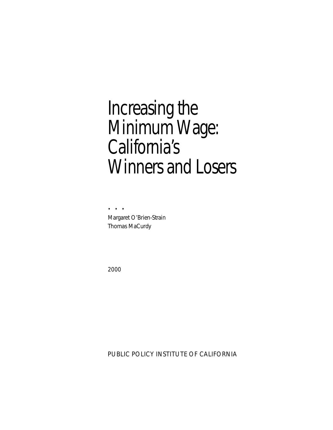# Increasing the Minimum Wage: California's Winners and Losers

• • • Margaret O'Brien-Strain Thomas MaCurdy

2000

PUBLIC POLICY INSTITUTE OF CALIFORNIA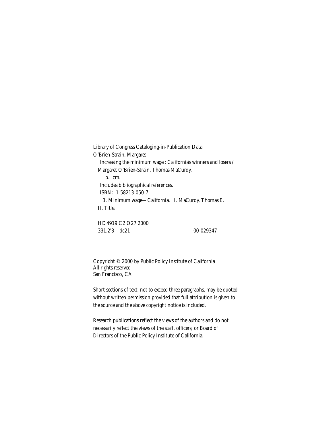Library of Congress Cataloging-in-Publication Data O'Brien-Strain, Margaret Increasing the minimum wage : California's winners and losers / Margaret O'Brien-Strain, Thomas MaCurdy. p. cm. Includes bibliographical references. ISBN: 1-58213-050-7 1. Minimum wage—California. I. MaCurdy, Thomas E. II. Title.

HD4919.C2 O27 2000 331.2'3—dc21 00-029347

Copyright © 2000 by Public Policy Institute of California All rights reserved San Francisco, CA

Short sections of text, not to exceed three paragraphs, may be quoted without written permission provided that full attribution is given to the source and the above copyright notice is included.

Research publications reflect the views of the authors and do not necessarily reflect the views of the staff, officers, or Board of Directors of the Public Policy Institute of California.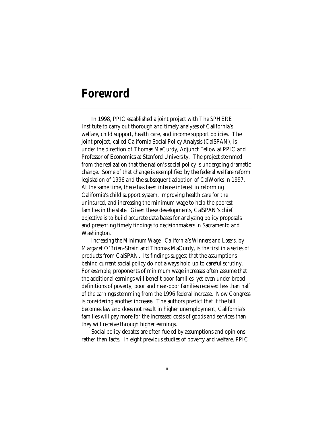### **Foreword**

In 1998, PPIC established a joint project with The SPHERE Institute to carry out thorough and timely analyses of California's welfare, child support, health care, and income support policies. The joint project, called California Social Policy Analysis (CalSPAN), is under the direction of Thomas MaCurdy, Adjunct Fellow at PPIC and Professor of Economics at Stanford University. The project stemmed from the realization that the nation's social policy is undergoing dramatic change. Some of that change is exemplified by the federal welfare reform legislation of 1996 and the subsequent adoption of CalWorks in 1997. At the same time, there has been intense interest in reforming California's child support system, improving health care for the uninsured, and increasing the minimum wage to help the poorest families in the state. Given these developments, CalSPAN's chief objective is to build accurate data bases for analyzing policy proposals and presenting timely findings to decisionmakers in Sacramento and Washington.

*Increasing the Minimum Wage: California's Winners and Losers*, by Margaret O'Brien-Strain and Thomas MaCurdy, is the first in a series of products from CalSPAN. Its findings suggest that the assumptions behind current social policy do not always hold up to careful scrutiny. For example, proponents of minimum wage increases often assume that the additional earnings will benefit poor families; yet even under broad definitions of poverty, poor and near-poor families received less than half of the earnings stemming from the 1996 federal increase. Now Congress is considering another increase. The authors predict that if the bill becomes law and does not result in higher unemployment, California's families will pay more for the increased costs of goods and services than they will receive through higher earnings.

Social policy debates are often fueled by assumptions and opinions rather than facts. In eight previous studies of poverty and welfare, PPIC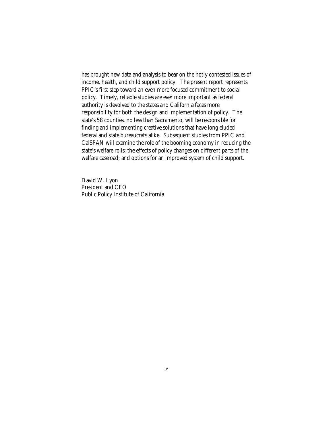has brought new data and analysis to bear on the hotly contested issues of income, health, and child support policy. The present report represents PPIC's first step toward an even more focused commitment to social policy. Timely, reliable studies are ever more important as federal authority is devolved to the states and California faces more responsibility for both the design and implementation of policy. The state's 58 counties, no less than Sacramento, will be responsible for finding and implementing creative solutions that have long eluded federal and state bureaucrats alike. Subsequent studies from PPIC and CalSPAN will examine the role of the booming economy in reducing the state's welfare rolls; the effects of policy changes on different parts of the welfare caseload; and options for an improved system of child support.

David W. Lyon President and CEO Public Policy Institute of California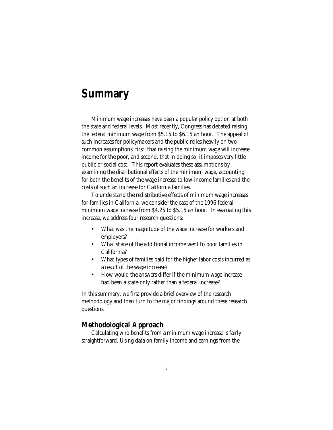### **Summary**

Minimum wage increases have been a popular policy option at both the state and federal levels. Most recently, Congress has debated raising the federal minimum wage from \$5.15 to \$6.15 an hour. The appeal of such increases for policymakers and the public relies heavily on two common assumptions: first, that raising the minimum wage will increase income for the poor, and second, that in doing so, it imposes very little public or social cost. This report evaluates these assumptions by examining the distributional effects of the minimum wage, accounting for both the benefits of the wage increase to low-income families and the costs of such an increase for California families.

To understand the redistributive effects of minimum wage increases for families in California, we consider the case of the 1996 federal minimum wage increase from \$4.25 to \$5.15 an hour. In evaluating this increase, we address four research questions:

- What was the magnitude of the wage increase for workers and employers?
- What share of the additional income went to poor families in California?
- What types of families paid for the higher labor costs incurred as a result of the wage increase?
- How would the answers differ if the minimum wage increase had been a state-only rather than a federal increase?

In this summary, we first provide a brief overview of the research methodology and then turn to the major findings around these research questions.

### **Methodological Approach**

Calculating who benefits from a minimum wage increase is fairly straightforward. Using data on family income and earnings from the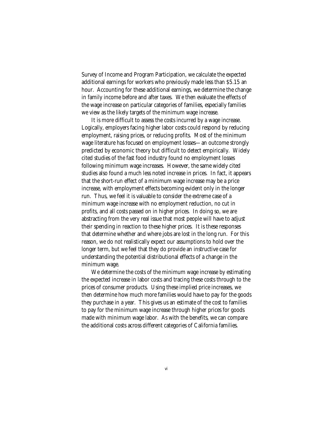Survey of Income and Program Participation, we calculate the expected additional earnings for workers who previously made less than \$5.15 an hour. Accounting for these additional earnings, we determine the change in family income before and after taxes. We then evaluate the effects of the wage increase on particular categories of families, especially families we view as the likely targets of the minimum wage increase.

It is more difficult to assess the costs incurred by a wage increase. Logically, employers facing higher labor costs could respond by reducing employment, raising prices, or reducing profits. Most of the minimum wage literature has focused on employment losses—an outcome strongly predicted by economic theory but difficult to detect empirically. Widely cited studies of the fast food industry found no employment losses following minimum wage increases. However, the same widely cited studies also found a much less noted increase in prices. In fact, it appears that the short-run effect of a minimum wage increase may be a price increase, with employment effects becoming evident only in the longer run. Thus, we feel it is valuable to consider the extreme case of a minimum wage increase with no employment reduction, no cut in profits, and all costs passed on in higher prices. In doing so, we are abstracting from the very real issue that most people will have to adjust their spending in reaction to these higher prices. It is these responses that determine whether and where jobs are lost in the long run. For this reason, we do not realistically expect our assumptions to hold over the longer term, but we feel that they do provide an instructive case for understanding the potential distributional effects of a change in the minimum wage.

We determine the costs of the minimum wage increase by estimating the expected increase in labor costs and tracing these costs through to the prices of consumer products. Using these implied price increases, we then determine how much more families would have to pay for the goods they purchase in a year. This gives us an estimate of the cost to families to pay for the minimum wage increase through higher prices for goods made with minimum wage labor. As with the benefits, we can compare the additional costs across different categories of California families.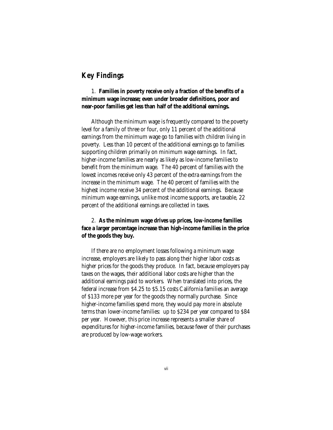### **Key Findings**

1. **Families in poverty receive only a fraction of the benefits of a minimum wage increase; even under broader definitions, poor and near-poor families get less than half of the additional earnings.**

Although the minimum wage is frequently compared to the poverty level for a family of three or four, only 11 percent of the additional earnings from the minimum wage go to families with children living in poverty. Less than 10 percent of the additional earnings go to families supporting children primarily on minimum wage earnings. In fact, higher-income families are nearly as likely as low-income families to benefit from the minimum wage. The 40 percent of families with the lowest incomes receive only 43 percent of the extra earnings from the increase in the minimum wage. The 40 percent of families with the highest income receive 34 percent of the additional earnings. Because minimum wage earnings, unlike most income supports, are taxable, 22 percent of the additional earnings are collected in taxes.

2. **As the minimum wage drives up prices, low-income families face a larger percentage increase than high-income families in the price of the goods they buy.**

If there are no employment losses following a minimum wage increase, employers are likely to pass along their higher labor costs as higher prices for the goods they produce. In fact, because employers pay taxes on the wages, their additional labor costs are higher than the additional earnings paid to workers. When translated into prices, the federal increase from \$4.25 to \$5.15 costs California families an average of \$133 more per year for the goods they normally purchase. Since higher-income families spend more, they would pay more in absolute terms than lower-income families: up to \$234 per year compared to \$84 per year. However, this price increase represents a smaller share of expenditures for higher-income families, because fewer of their purchases are produced by low-wage workers.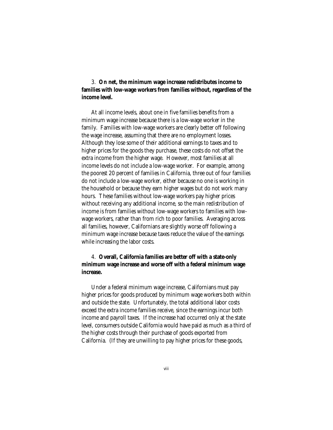3. **On net, the minimum wage increase redistributes income to families with low-wage workers from families without, regardless of the income level.**

At all income levels, about one in five families benefits from a minimum wage increase because there is a low-wage worker in the family. Families with low-wage workers are clearly better off following the wage increase, assuming that there are no employment losses. Although they lose some of their additional earnings to taxes and to higher prices for the goods they purchase, these costs do not offset the extra income from the higher wage. However, most families at all income levels do not include a low-wage worker. For example, among the poorest 20 percent of families in California, three out of four families do not include a low-wage worker, either because no one is working in the household or because they earn higher wages but do not work many hours. These families without low-wage workers pay higher prices without receiving any additional income, so the main redistribution of income is from families without low-wage workers to families with lowwage workers, rather than from rich to poor families. Averaging across all families, however, Californians are slightly worse off following a minimum wage increase because taxes reduce the value of the earnings while increasing the labor costs.

### 4. **Overall, California families are better off with a state-only minimum wage increase and worse off with a federal minimum wage increase***.*

Under a federal minimum wage increase, Californians must pay higher prices for goods produced by minimum wage workers both within and outside the state. Unfortunately, the total additional labor costs exceed the extra income families receive, since the earnings incur both income and payroll taxes. If the increase had occurred only at the state level, consumers outside California would have paid as much as a third of the higher costs through their purchase of goods exported from California. (If they are unwilling to pay higher prices for these goods,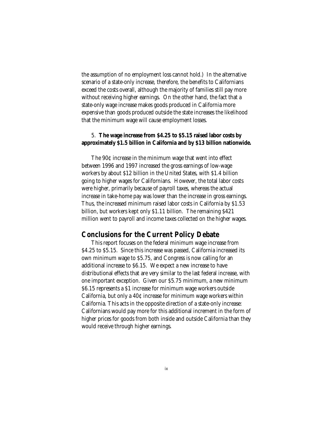the assumption of no employment loss cannot hold.) In the alternative scenario of a state-only increase, therefore, the benefits to Californians exceed the costs overall, although the majority of families still pay more without receiving higher earnings. On the other hand, the fact that a state-only wage increase makes goods produced in California more expensive than goods produced outside the state increases the likelihood that the minimum wage will cause employment losses.

### 5. **The wage increase from \$4.25 to \$5.15 raised labor costs by approximately \$1.5 billion in California and by \$13 billion nationwide.**

The 90¢ increase in the minimum wage that went into effect between 1996 and 1997 increased the gross earnings of low-wage workers by about \$12 billion in the United States, with \$1.4 billion going to higher wages for Californians. However, the total labor costs were higher, primarily because of payroll taxes, whereas the actual increase in take-home pay was lower than the increase in gross earnings. Thus, the increased minimum raised labor costs in California by \$1.53 billion, but workers kept only \$1.11 billion. The remaining \$421 million went to payroll and income taxes collected on the higher wages.

### **Conclusions for the Current Policy Debate**

This report focuses on the federal minimum wage increase from \$4.25 to \$5.15. Since this increase was passed, California increased its own minimum wage to \$5.75, and Congress is now calling for an additional increase to \$6.15. We expect a new increase to have distributional effects that are very similar to the last federal increase, with one important exception. Given our \$5.75 minimum, a new minimum \$6.15 represents a \$1 increase for minimum wage workers outside California, but only a 40¢ increase for minimum wage workers within California. This acts in the opposite direction of a state-only increase: Californians would pay more for this additional increment in the form of higher prices for goods from both inside and outside California than they would receive through higher earnings.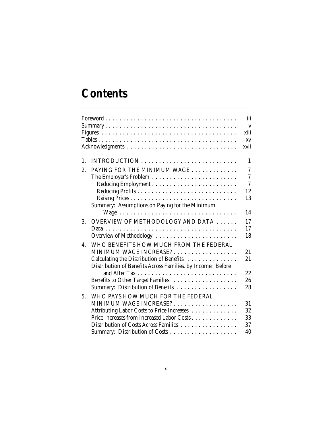# **Contents**

|                  |                                                             | iii            |
|------------------|-------------------------------------------------------------|----------------|
|                  |                                                             | $\mathbf{V}$   |
|                  | xiii                                                        |                |
|                  | <b>XV</b>                                                   |                |
|                  | xvii                                                        |                |
| $\mathbf{1}$ .   |                                                             | 1              |
| 2.               | PAYING FOR THE MINIMUM WAGE                                 | $\overline{7}$ |
|                  |                                                             | $\overline{7}$ |
|                  |                                                             | $\overline{7}$ |
|                  | 12                                                          |                |
|                  | 13                                                          |                |
|                  | Summary: Assumptions on Paying for the Minimum              |                |
|                  | 14<br>Wage                                                  |                |
| 3.               | OVERVIEW OF METHODOLOGY AND DATA<br>17                      |                |
|                  | 17                                                          |                |
|                  | Overview of Methodology<br>18                               |                |
| $\overline{4}$ . | WHO BENEFITS HOW MUCH FROM THE FEDERAL                      |                |
|                  | MINIMUM WAGE INCREASE?<br>21                                |                |
|                  | Calculating the Distribution of Benefits<br>21              |                |
|                  | Distribution of Benefits Across Families, by Income: Before |                |
|                  | 22                                                          |                |
|                  | Benefits to Other Target Families<br>26                     |                |
|                  | Summary: Distribution of Benefits<br>28                     |                |
| 5.               | WHO PAYS HOW MUCH FOR THE FEDERAL                           |                |
|                  | MINIMUM WAGE INCREASE?<br>31                                |                |
|                  | 32<br>Attributing Labor Costs to Price Increases            |                |
|                  | 33<br>Price Increases from Increased Labor Costs            |                |
|                  | 37<br>Distribution of Costs Across Families                 |                |
|                  | Summary: Distribution of Costs<br>40                        |                |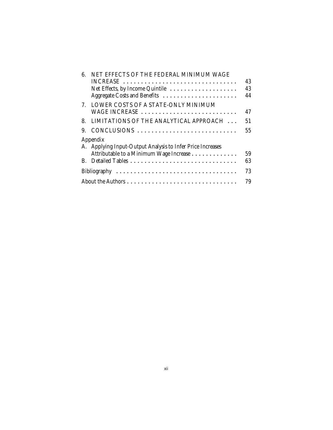| 6. | NET EFFECTS OF THE FEDERAL MINIMUM WAGE                    |    |  |
|----|------------------------------------------------------------|----|--|
|    | $INCREASE$                                                 | 43 |  |
|    | Net Effects, by Income Quintile                            | 43 |  |
|    |                                                            | 44 |  |
| 7. | LOWER COSTS OF A STATE-ONLY MINIMUM                        |    |  |
|    | WAGE INCREASE                                              | 47 |  |
| 8  | LIMITATIONS OF THE ANALYTICAL APPROACH                     | 51 |  |
| 9. | CONCLUSIONS                                                | 55 |  |
|    | Appendix                                                   |    |  |
|    | A. Applying Input-Output Analysis to Infer Price Increases |    |  |
|    | Attributable to a Minimum Wage Increase                    | 59 |  |
|    |                                                            | 63 |  |
|    |                                                            | 73 |  |
|    |                                                            | 79 |  |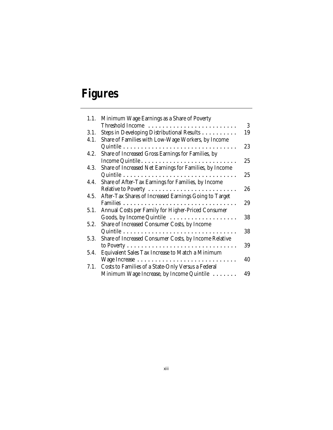# **Figures**

| 1.1. | Minimum Wage Earnings as a Share of Poverty                           |
|------|-----------------------------------------------------------------------|
|      | 3<br>Threshold Income                                                 |
| 3.1. | Steps in Developing Distributional Results<br>19                      |
| 4.1. | Share of Families with Low-Wage Workers, by Income                    |
|      | 23                                                                    |
| 4.2. | Share of Increased Gross Earnings for Families, by                    |
|      | 25                                                                    |
| 4.3. | Share of Increased Net Earnings for Families, by Income               |
|      | 25                                                                    |
| 4.4. | Share of After-Tax Earnings for Families, by Income                   |
|      | Relative to Poverty<br>26                                             |
| 4.5. | After-Tax Shares of Increased Earnings Going to Target                |
|      | 29                                                                    |
| 5.1. | Annual Costs per Family for Higher-Priced Consumer                    |
|      | Goods, by Income Quintile $\dots \dots \dots \dots \dots \dots$<br>38 |
| 5.2. | Share of Increased Consumer Costs, by Income                          |
|      | 38                                                                    |
| 5.3. | Share of Increased Consumer Costs, by Income Relative                 |
|      | 39                                                                    |
| 5.4. | Equivalent Sales Tax Increase to Match a Minimum                      |
|      | 40                                                                    |
|      | 7.1. Costs to Families of a State-Only Versus a Federal               |
|      | Minimum Wage Increase, by Income Quintile<br>49                       |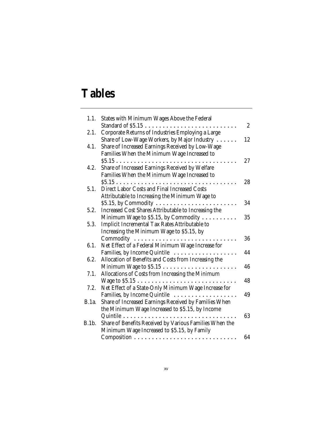# **Tables**

| 1.1.         | States with Minimum Wages Above the Federal                             |                |
|--------------|-------------------------------------------------------------------------|----------------|
|              | Standard of $$5.15$                                                     | $\overline{c}$ |
| 2.1.         | Corporate Returns of Industries Employing a Large                       |                |
|              | Share of Low-Wage Workers, by Major Industry                            | 12             |
| 4.1.         | Share of Increased Earnings Received by Low-Wage                        |                |
|              | Families When the Minimum Wage Increased to                             |                |
|              | \$5.15                                                                  | 27             |
| 4.2.         | Share of Increased Earnings Received by Welfare                         |                |
|              | Families When the Minimum Wage Increased to                             |                |
|              |                                                                         | 28             |
| 5.1.         | Direct Labor Costs and Final Increased Costs                            |                |
|              | Attributable to Increasing the Minimum Wage to                          |                |
|              | \$5.15, by Commodity $\ldots \ldots \ldots \ldots \ldots \ldots \ldots$ | 34             |
| 5.2.         | Increased Cost Shares Attributable to Increasing the                    |                |
|              | Minimum Wage to \$5.15, by Commodity                                    | 35             |
| 5.3.         | Implicit Incremental Tax Rates Attributable to                          |                |
|              | Increasing the Minimum Wage to \$5.15, by                               |                |
|              |                                                                         | 36             |
| 6.1.         | Net Effect of a Federal Minimum Wage Increase for                       |                |
|              | Families, by Income Quintile                                            | 44             |
| 6.2.         | Allocation of Benefits and Costs from Increasing the                    |                |
|              |                                                                         | 46             |
| 7.1.         | Allocations of Costs from Increasing the Minimum                        |                |
|              |                                                                         | 48             |
| 7.2.         | Net Effect of a State-Only Minimum Wage Increase for                    |                |
|              | Families, by Income Quintile                                            | 49             |
| <b>B.1a.</b> | Share of Increased Earnings Received by Families When                   |                |
|              | the Minimum Wage Increased to \$5.15, by Income                         |                |
|              | Quintile                                                                | 63             |
| B.1b.        | Share of Benefits Received by Various Families When the                 |                |
|              | Minimum Wage Increased to \$5.15, by Family                             |                |
|              |                                                                         | 64             |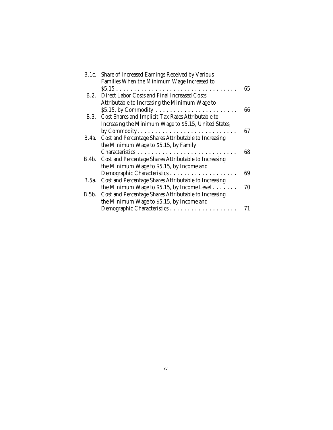| B.1c. Share of Increased Earnings Received by Various |                                                                        |    |  |
|-------------------------------------------------------|------------------------------------------------------------------------|----|--|
|                                                       | Families When the Minimum Wage Increased to                            |    |  |
|                                                       |                                                                        | 65 |  |
|                                                       | B.2. Direct Labor Costs and Final Increased Costs                      |    |  |
|                                                       | Attributable to Increasing the Minimum Wage to                         |    |  |
|                                                       | \$5.15, by Commodity $\dots \dots \dots \dots \dots \dots \dots \dots$ | 66 |  |
| B.3.                                                  | Cost Shares and Implicit Tax Rates Attributable to                     |    |  |
|                                                       | Increasing the Minimum Wage to \$5.15, United States,                  |    |  |
|                                                       |                                                                        | 67 |  |
| <b>B.4a.</b>                                          | Cost and Percentage Shares Attributable to Increasing                  |    |  |
|                                                       | the Minimum Wage to \$5.15, by Family                                  |    |  |
|                                                       |                                                                        | 68 |  |
|                                                       | B.4b. Cost and Percentage Shares Attributable to Increasing            |    |  |
|                                                       | the Minimum Wage to \$5.15, by Income and                              |    |  |
|                                                       |                                                                        | 69 |  |
| B.5a.                                                 | Cost and Percentage Shares Attributable to Increasing                  |    |  |
|                                                       | the Minimum Wage to \$5.15, by Income Level                            | 70 |  |
| B.5b.                                                 | Cost and Percentage Shares Attributable to Increasing                  |    |  |
|                                                       | the Minimum Wage to \$5.15, by Income and                              |    |  |
|                                                       |                                                                        | 71 |  |
|                                                       |                                                                        |    |  |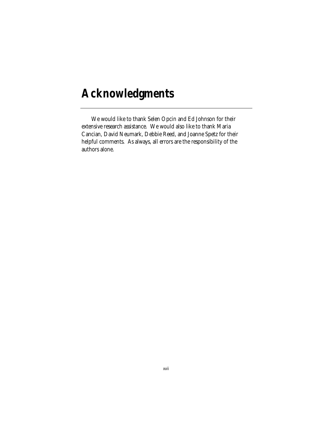# **Acknowledgments**

We would like to thank Selen Opcin and Ed Johnson for their extensive research assistance. We would also like to thank Maria Cancian, David Neumark, Debbie Reed, and Joanne Spetz for their helpful comments. As always, all errors are the responsibility of the authors alone.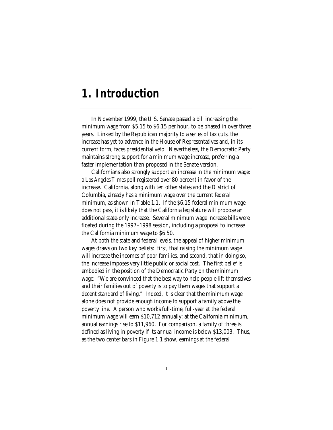### **1. Introduction**

In November 1999, the U.S. Senate passed a bill increasing the minimum wage from \$5.15 to \$6.15 per hour, to be phased in over three years. Linked by the Republican majority to a series of tax cuts, the increase has yet to advance in the House of Representatives and, in its current form, faces presidential veto. Nevertheless, the Democratic Party maintains strong support for a minimum wage increase, preferring a faster implementation than proposed in the Senate version.

Californians also strongly support an increase in the minimum wage: a *Los Angeles Times* poll registered over 80 percent in favor of the increase. California, along with ten other states and the District of Columbia, already has a minimum wage over the current federal minimum, as shown in Table 1.1. If the \$6.15 federal minimum wage does not pass, it is likely that the California legislature will propose an additional state-only increase. Several minimum wage increase bills were floated during the 1997–1998 session, including a proposal to increase the California minimum wage to \$6.50.

At both the state and federal levels, the appeal of higher minimum wages draws on two key beliefs: first, that raising the minimum wage will increase the incomes of poor families, and second, that in doing so, the increase imposes very little public or social cost. The first belief is embodied in the position of the Democratic Party on the minimum wage: "We are convinced that the best way to help people lift themselves and their families out of poverty is to pay them wages that support a decent standard of living." Indeed, it is clear that the minimum wage alone does not provide enough income to support a family above the poverty line. A person who works full-time, full-year at the federal minimum wage will earn \$10,712 annually; at the California minimum, annual earnings rise to \$11,960. For comparison, a family of three is defined as living in poverty if its annual income is below \$13,003. Thus, as the two center bars in Figure 1.1 show, earnings at the federal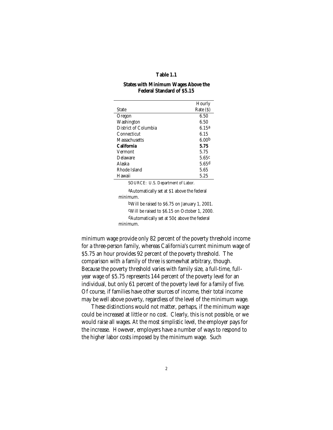#### **Table 1.1**

#### **States with Minimum Wages Above the Federal Standard of \$5.15**

|                      | Hourly            |
|----------------------|-------------------|
| State                | Rate (S)          |
| Oregon               | 6.50              |
| Washington           | 6.50              |
| District of Columbia | 6.15a             |
| Connecticut          | 6.15              |
| Massachusetts        | 6.00 <sub>b</sub> |
| California           | 5.75              |
| Vermont              | 5.75              |
| Delaware             | 5.65c             |
| Alaska               | 5.65d             |
| Rhode Island         | 5.65              |
| Hawaii               | 5.25              |

SOURCE: U.S. Department of Labor.

aAutomatically set at \$1 above the federal minimum. bWill be raised to \$6.75 on January 1, 2001. cWill be raised to \$6.15 on October 1, 2000. dAutomatically set at 50¢ above the federal

minimum.

minimum wage provide only 82 percent of the poverty threshold income for a three-person family, whereas California's current minimum wage of \$5.75 an hour provides 92 percent of the poverty threshold. The comparison with a family of three is somewhat arbitrary, though. Because the poverty threshold varies with family size, a full-time, fullyear wage of \$5.75 represents 144 percent of the poverty level for an individual, but only 61 percent of the poverty level for a family of five. Of course, if families have other sources of income, their total income may be well above poverty, regardless of the level of the minimum wage.

These distinctions would not matter, perhaps, if the minimum wage could be increased at little or no cost. Clearly, this is not possible, or we would raise all wages. At the most simplistic level, the employer pays for the increase. However, employers have a number of ways to respond to the higher labor costs imposed by the minimum wage. Such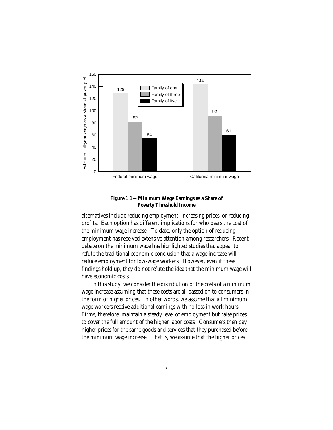

**Figure 1.1—Minimum Wage Earnings as a Share of Poverty Threshold Income**

alternatives include reducing employment, increasing prices, or reducing profits. Each option has different implications for who bears the cost of the minimum wage increase. To date, only the option of reducing employment has received extensive attention among researchers. Recent debate on the minimum wage has highlighted studies that appear to refute the traditional economic conclusion that a wage increase will reduce employment for low-wage workers. However, even if these findings hold up, they do not refute the idea that the minimum wage will have economic costs.

In this study, we consider the distribution of the costs of a minimum wage increase assuming that these costs are all passed on to consumers in the form of higher prices. In other words, we assume that all minimum wage workers receive additional earnings with no loss in work hours. Firms, therefore, maintain a steady level of employment but raise prices to cover the full amount of the higher labor costs. Consumers then pay higher prices for the same goods and services that they purchased before the minimum wage increase. That is, we assume that the higher prices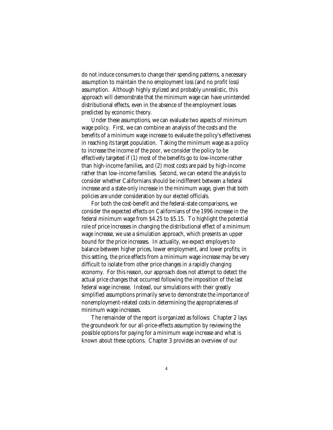do not induce consumers to change their spending patterns, a necessary assumption to maintain the no employment loss (and no profit loss) assumption. Although highly stylized and probably unrealistic, this approach will demonstrate that the minimum wage can have unintended distributional effects, even in the absence of the employment losses predicted by economic theory.

Under these assumptions, we can evaluate two aspects of minimum wage policy. First, we can combine an analysis of the costs and the benefits of a minimum wage increase to evaluate the policy's effectiveness in reaching its target population. Taking the minimum wage as a policy to increase the income of the poor, we consider the policy to be effectively targeted if (1) most of the benefits go to low-income rather than high-income families, and (2) most costs are paid by high-income rather than low-income families. Second, we can extend the analysis to consider whether Californians should be indifferent between a federal increase and a state-only increase in the minimum wage, given that both policies are under consideration by our elected officials.

For both the cost-benefit and the federal-state comparisons, we consider the expected effects on Californians of the 1996 increase in the federal minimum wage from \$4.25 to \$5.15. To highlight the potential role of price increases in changing the distributional effect of a minimum wage increase, we use a simulation approach, which presents an upper bound for the price increases. In actuality, we expect employers to balance between higher prices, lower employment, and lower profits; in this setting, the price effects from a minimum wage increase may be very difficult to isolate from other price changes in a rapidly changing economy. For this reason, our approach does not attempt to detect the actual price changes that occurred following the imposition of the last federal wage increase. Instead, our simulations with their greatly simplified assumptions primarily serve to demonstrate the importance of nonemployment-related costs in determining the appropriateness of minimum wage increases.

The remainder of the report is organized as follows: Chapter 2 lays the groundwork for our all-price-effects assumption by reviewing the possible options for paying for a minimum wage increase and what is known about these options. Chapter 3 provides an overview of our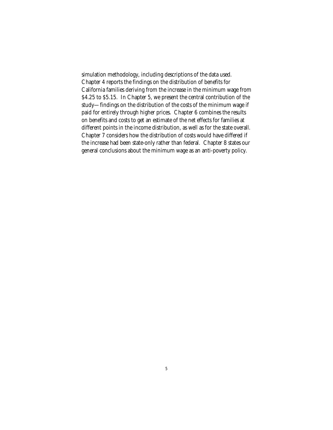simulation methodology, including descriptions of the data used. Chapter 4 reports the findings on the distribution of benefits for California families deriving from the increase in the minimum wage from \$4.25 to \$5.15. In Chapter 5, we present the central contribution of the study—findings on the distribution of the costs of the minimum wage if paid for entirely through higher prices. Chapter 6 combines the results on benefits and costs to get an estimate of the net effects for families at different points in the income distribution, as well as for the state overall. Chapter 7 considers how the distribution of costs would have differed if the increase had been state-only rather than federal. Chapter 8 states our general conclusions about the minimum wage as an anti-poverty policy.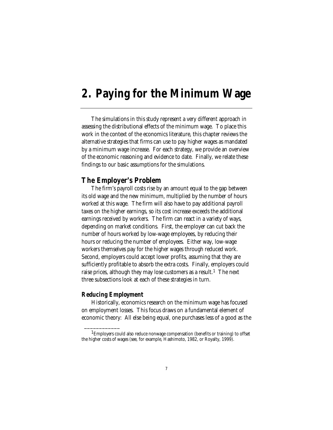### **2. Paying for the Minimum Wage**

The simulations in this study represent a very different approach in assessing the distributional effects of the minimum wage. To place this work in the context of the economics literature, this chapter reviews the alternative strategies that firms can use to pay higher wages as mandated by a minimum wage increase. For each strategy, we provide an overview of the economic reasoning and evidence to date. Finally, we relate these findings to our basic assumptions for the simulations.

### **The Employer's Problem**

The firm's payroll costs rise by an amount equal to the gap between its old wage and the new minimum, multiplied by the number of hours worked at this wage. The firm will also have to pay additional payroll taxes on the higher earnings, so its cost increase exceeds the additional earnings received by workers. The firm can react in a variety of ways, depending on market conditions. First, the employer can cut back the number of hours worked by low-wage employees, by reducing their hours or reducing the number of employees. Either way, low-wage workers themselves pay for the higher wages through reduced work. Second, employers could accept lower profits, assuming that they are sufficiently profitable to absorb the extra costs. Finally, employers could raise prices, although they may lose customers as a result.<sup>1</sup> The next three subsections look at each of these strategies in turn.

#### *Reducing Employment*

\_\_\_\_\_\_\_\_\_\_\_\_

Historically, economics research on the minimum wage has focused on employment losses. This focus draws on a fundamental element of economic theory: All else being equal, one purchases less of a good as the

<sup>&</sup>lt;sup>1</sup>Employers could also reduce nonwage compensation (benefits or training) to offset the higher costs of wages (see, for example, Hashimoto, 1982, or Royalty, 1999).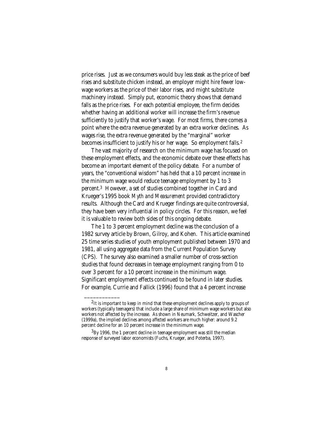price rises. Just as we consumers would buy less steak as the price of beef rises and substitute chicken instead, an employer might hire fewer lowwage workers as the price of their labor rises, and might substitute machinery instead. Simply put, economic theory shows that demand falls as the price rises. For each potential employee, the firm decides whether having an additional worker will increase the firm's revenue sufficiently to justify that worker's wage. For most firms, there comes a point where the extra revenue generated by an extra worker declines. As wages rise, the extra revenue generated by the "marginal" worker becomes insufficient to justify his or her wage. So employment falls.<sup>2</sup>

The vast majority of research on the minimum wage has focused on these employment effects, and the economic debate over these effects has become an important element of the policy debate. For a number of years, the "conventional wisdom" has held that a 10 percent increase in the minimum wage would reduce teenage employment by 1 to 3 percent.3 However, a set of studies combined together in Card and Krueger's 1995 book *Myth and Measurement* provided contradictory results. Although the Card and Krueger findings are quite controversial, they have been very influential in policy circles. For this reason, we feel it is valuable to review both sides of this ongoing debate.

The 1 to 3 percent employment decline was the conclusion of a 1982 survey article by Brown, Gilroy, and Kohen. This article examined 25 time series studies of youth employment published between 1970 and 1981, all using aggregate data from the Current Population Survey (CPS). The survey also examined a smaller number of cross-section studies that found decreases in teenage employment ranging from 0 to over 3 percent for a 10 percent increase in the minimum wage. Significant employment effects continued to be found in later studies. For example, Currie and Fallick (1996) found that a 4 percent increase

 ${}^{2}$ It is important to keep in mind that these employment declines apply to groups of workers (typically teenagers) that include a large share of minimum wage workers but also workers not affected by the increase. As shown in Neumark, Schweitzer, and Wascher (1999a), the implied declines among *affected* workers are much higher: around 9.2 percent decline for an 10 percent increase in the minimum wage.

 ${}^{3}$ By 1996, the 1 percent decline in teenage employment was still the median response of surveyed labor economists (Fuchs, Krueger, and Poterba, 1997).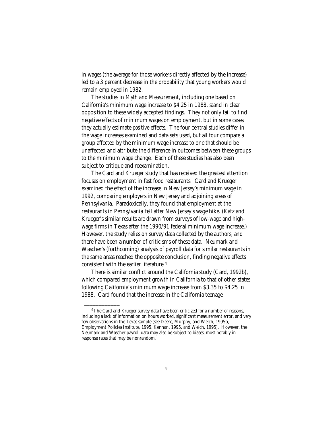in wages (the average for those workers directly affected by the increase) led to a 3 percent decrease in the probability that young workers would remain employed in 1982.

The studies in *Myth and Measurement*, including one based on California's minimum wage increase to \$4.25 in 1988, stand in clear opposition to these widely accepted findings. They not only fail to find negative effects of minimum wages on employment, but in some cases they actually estimate *positive* effects. The four central studies differ in the wage increases examined and data sets used, but all four compare a group affected by the minimum wage increase to one that should be unaffected and attribute the difference in outcomes between these groups to the minimum wage change. Each of these studies has also been subject to critique and reexamination.

The Card and Krueger study that has received the greatest attention focuses on employment in fast food restaurants. Card and Krueger examined the effect of the increase in New Jersey's minimum wage in 1992, comparing employers in New Jersey and adjoining areas of Pennsylvania. Paradoxically, they found that employment at the restaurants in *Pennsylvania* fell after New Jersey's wage hike. (Katz and Krueger's similar results are drawn from surveys of low-wage and highwage firms in Texas after the 1990/91 federal minimum wage increase.) However, the study relies on survey data collected by the authors, and there have been a number of criticisms of these data. Neumark and Wascher's (forthcoming) analysis of payroll data for similar restaurants in the same areas reached the opposite conclusion, finding negative effects consistent with the earlier literature.4

There is similar conflict around the California study (Card, 1992b), which compared employment growth in California to that of other states following California's minimum wage increase from \$3.35 to \$4.25 in 1988. Card found that the increase in the California teenage

<sup>&</sup>lt;sup>4</sup>The Card and Krueger survey data have been criticized for a number of reasons, including a lack of information on hours worked, significant measurement error, and very few observations in the Texas sample (see Deere, Murphy, and Welch, 1995b, Employment Policies Institute, 1995, Kennan, 1995, and Welch, 1995). However, the Neumark and Wascher payroll data may also be subject to biases, most notably in response rates that may be nonrandom.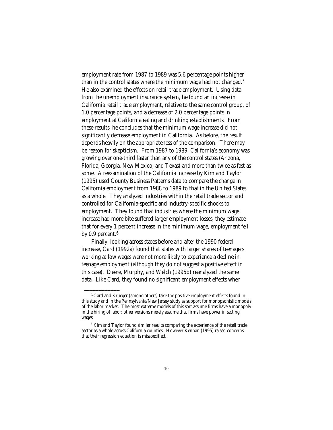employment rate from 1987 to 1989 was 5.6 percentage points higher than in the control states where the minimum wage had not changed.5 He also examined the effects on retail trade employment. Using data from the unemployment insurance system, he found an increase in California retail trade employment, relative to the same control group, of 1.0 percentage points, and a decrease of 2.0 percentage points in employment at California eating and drinking establishments. From these results, he concludes that the minimum wage increase did not significantly decrease employment in California. As before, the result depends heavily on the appropriateness of the comparison. There may be reason for skepticism. From 1987 to 1989, California's economy was growing over one-third faster than any of the control states (Arizona, Florida, Georgia, New Mexico, and Texas) and more than twice as fast as some. A reexamination of the California increase by Kim and Taylor (1995) used County Business Patterns data to compare the change in California employment from 1988 to 1989 to that in the United States as a whole. They analyzed industries within the retail trade sector and controlled for California-specific and industry-specific shocks to employment. They found that industries where the minimum wage increase had more bite suffered larger employment losses; they estimate that for every 1 percent increase in the minimum wage, employment fell by 0.9 percent.<sup>6</sup>

Finally, looking across states before and after the 1990 federal increase, Card (1992a) found that states with larger shares of teenagers working at low wages were not more likely to experience a decline in teenage employment (although they do not suggest a positive effect in this case). Deere, Murphy, and Welch (1995b) reanalyzed the same data. Like Card, they found no significant employment effects when

<sup>&</sup>lt;sup>5</sup>Card and Krueger (among others) take the positive employment effects found in this study and in the Pennsylvania/New Jersey study as support for monopsonistic models of the labor market. The most extreme models of this sort assume firms have a monopoly in the hiring of labor; other versions merely assume that firms have power in setting wages.

<sup>&</sup>lt;sup>6</sup>Kim and Taylor found similar results comparing the experience of the retail trade sector as a whole across California counties. However Kennan (1995) raised concerns that their regression equation is misspecified.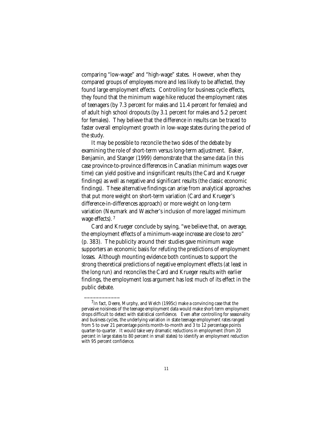comparing "low-wage" and "high-wage" states. However, when they compared groups of employees more and less likely to be affected, they found large employment effects. Controlling for business cycle effects, they found that the minimum wage hike reduced the employment rates of teenagers (by 7.3 percent for males and 11.4 percent for females) and of adult high school dropouts (by 3.1 percent for males and 5.2 percent for females). They believe that the difference in results can be traced to faster overall employment growth in low-wage states during the period of the study.

It may be possible to reconcile the two sides of the debate by examining the role of short-term versus long-term adjustment. Baker, Benjamin, and Stanger (1999) demonstrate that the same data (in this case province-to-province differences in Canadian minimum wages over time) can yield positive and insignificant results (the Card and Krueger findings) as well as negative and significant results (the classic economic findings). These alternative findings can arise from analytical approaches that put more weight on short-term variation (Card and Krueger's difference-in-differences approach) or more weight on long-term variation (Neumark and Wascher's inclusion of more lagged minimum wage effects).<sup>7</sup>

Card and Krueger conclude by saying, "we believe that, on average, the employment effects of a minimum-wage increase are close to zero" (p. 383). The publicity around their studies gave minimum wage supporters an economic basis for refuting the predictions of employment losses. Although mounting evidence both continues to support the strong theoretical predictions of negative employment effects (at least in the long run) and reconciles the Card and Krueger results with earlier findings, the employment loss argument has lost much of its effect in the public debate.

 $7$ In fact, Deere, Murphy, and Welch (1995c) make a convincing case that the pervasive noisiness of the teenage employment data would make short-term employment drops difficult to detect with statistical confidence. Even after controlling for seasonality and business cycles, the underlying variation in state teenage employment rates ranged from 5 to over 21 percentage points month-to-month and 3 to 12 percentage points quarter-to-quarter. It would take very dramatic reductions in employment (from 20 percent in large states to 80 percent in small states) to identify an employment reduction with 95 percent confidence.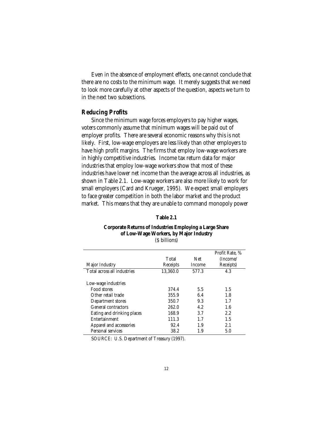Even in the absence of employment effects, one cannot conclude that there are no costs to the minimum wage. It merely suggests that we need to look more carefully at other aspects of the question, aspects we turn to in the next two subsections.

### *Reducing Profits*

Since the minimum wage forces employers to pay higher wages, voters commonly assume that minimum wages will be paid out of employer profits. There are several economic reasons why this is not likely. First, low-wage employers are less likely than other employers to have high profit margins. The firms that employ low-wage workers are in highly competitive industries. Income tax return data for major industries that employ low-wage workers show that most of these industries have lower net income than the average across all industries, as shown in Table 2.1. Low-wage workers are also more likely to work for small employers (Card and Krueger, 1995). We expect small employers to face greater competition in both the labor market and the product market. This means that they are unable to command monopoly power

#### **Table 2.1**

#### **Corporate Returns of Industries Employing a Large Share of Low-Wage Workers, by Major Industry** (\$ billions)

|                             |          |               | Profit Rate. % |
|-----------------------------|----------|---------------|----------------|
|                             | Total    | Net           | (Income/       |
| Major Industry              | Receipts | <b>Income</b> | Receipts)      |
| Total across all industries | 13.360.0 | 577.3         | 4.3            |
|                             |          |               |                |
| Low-wage industries         |          |               |                |
| Food stores                 | 374.4    | 5.5           | 1.5            |
| Other retail trade          | 355.9    | 6.4           | 1.8            |
| Department stores           | 350.7    | 9.3           | 1.7            |
| General contractors         | 262.0    | 4.2           | 1.6            |
| Eating and drinking places  | 168.9    | 3.7           | 2.2            |
| Entertainment               | 111.3    | 1.7           | 1.5            |
| Apparel and accessories     | 92.4     | 1.9           | 2.1            |
| Personal services           | 38.2     | 1.9           | 5.0            |

SOURCE: U.S. Department of Treasury (1997).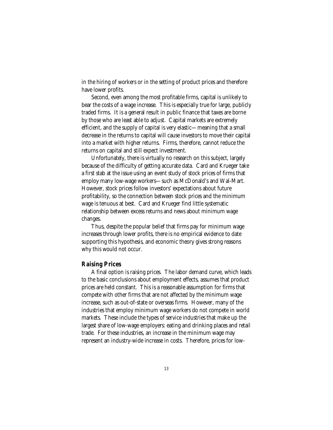in the hiring of workers or in the setting of product prices and therefore have lower profits.

Second, even among the most profitable firms, capital is unlikely to bear the costs of a wage increase. This is especially true for large, publicly traded firms. It is a general result in public finance that taxes are borne by those who are least able to adjust. Capital markets are extremely efficient, and the supply of capital is very elastic—meaning that a small decrease in the returns to capital will cause investors to move their capital into a market with higher returns. Firms, therefore, cannot reduce the returns on capital and still expect investment.

Unfortunately, there is virtually no research on this subject, largely because of the difficulty of getting accurate data. Card and Krueger take a first stab at the issue using an event study of stock prices of firms that employ many low-wage workers—such as McDonald's and Wal-Mart. However, stock prices follow investors' expectations about future profitability, so the connection between stock prices and the minimum wage is tenuous at best. Card and Krueger find little systematic relationship between excess returns and news about minimum wage changes.

Thus, despite the popular belief that firms pay for minimum wage increases through lower profits, there is no empirical evidence to date supporting this hypothesis, and economic theory gives strong reasons why this would not occur.

#### *Raising Prices*

A final option is raising prices. The labor demand curve, which leads to the basic conclusions about employment effects, assumes that product prices are held constant. This is a reasonable assumption for firms that compete with other firms that are not affected by the minimum wage increase, such as out-of-state or overseas firms. However, many of the industries that employ minimum wage workers do not compete in world markets. These include the types of service industries that make up the largest share of low-wage employers: eating and drinking places and retail trade. For these industries, an increase in the minimum wage may represent an industry-wide increase in costs. Therefore, prices for low-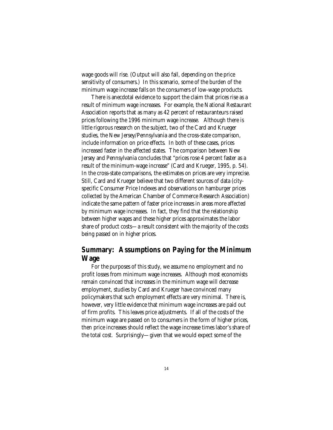wage goods will rise. (Output will also fall, depending on the price sensitivity of consumers.) In this scenario, some of the burden of the minimum wage increase falls on the consumers of low-wage products.

There is anecdotal evidence to support the claim that prices rise as a result of minimum wage increases. For example, the National Restaurant Association reports that as many as 42 percent of restauranteurs raised prices following the 1996 minimum wage increase. Although there is little rigorous research on the subject, two of the Card and Krueger studies, the New Jersey/Pennsylvania and the cross-state comparison, include information on price effects. In both of these cases, prices increased faster in the affected states. The comparison between New Jersey and Pennsylvania concludes that "prices rose 4 percent faster as a result of the minimum-wage increase" (Card and Krueger, 1995, p. 54). In the cross-state comparisons, the estimates on prices are very imprecise. Still, Card and Krueger believe that two different sources of data (cityspecific Consumer Price Indexes and observations on hamburger prices collected by the American Chamber of Commerce Research Association) indicate the same pattern of faster price increases in areas more affected by minimum wage increases. In fact, they find that the relationship between higher wages and these higher prices approximates the labor share of product costs—a result consistent with the majority of the costs being passed on in higher prices.

### **Summary: Assumptions on Paying for the Minimum Wage**

For the purposes of this study, we assume no employment and no profit losses from minimum wage increases. Although most economists remain convinced that increases in the minimum wage will decrease employment, studies by Card and Krueger have convinced many policymakers that such employment effects are very minimal. There is, however, very little evidence that minimum wage increases are paid out of firm profits. This leaves price adjustments. If all of the costs of the minimum wage are passed on to consumers in the form of higher prices, then price increases should reflect the wage increase times labor's share of the total cost. Surprisingly—given that we would expect some of the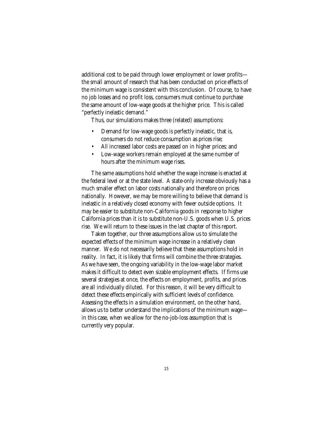additional cost to be paid through lower employment or lower profits the small amount of research that has been conducted on price effects of the minimum wage is consistent with this conclusion. Of course, to have no job losses and no profit loss, consumers must continue to purchase the same amount of low-wage goods at the higher price. This is called "perfectly inelastic demand."

Thus, our simulations makes three (related) assumptions:

- Demand for low-wage goods is perfectly inelastic, that is, consumers do not reduce consumption as prices rise;
- All increased labor costs are passed on in higher prices; and
- Low-wage workers remain employed at the same number of hours after the minimum wage rises.

The same assumptions hold whether the wage increase is enacted at the federal level or at the state level. A state-only increase obviously has a much smaller effect on labor costs nationally and therefore on prices nationally. However, we may be more willing to believe that demand is inelastic in a relatively closed economy with fewer outside options. It may be easier to substitute non-California goods in response to higher California prices than it is to substitute non-U.S. goods when U.S. prices rise. We will return to these issues in the last chapter of this report.

Taken together, our three assumptions allow us to simulate the expected effects of the minimum wage increase in a relatively clean manner. We do not necessarily believe that these assumptions hold in reality. In fact, it is likely that firms will combine the three strategies. As we have seen, the ongoing variability in the low-wage labor market makes it difficult to detect even sizable employment effects. If firms use several strategies at once, the effects on employment, profits, and prices are all individually diluted. For this reason, it will be very difficult to detect these effects empirically with sufficient levels of confidence. Assessing the effects in a simulation environment, on the other hand, allows us to better understand the implications of the minimum wage in this case, when we allow for the no-job-loss assumption that is currently very popular.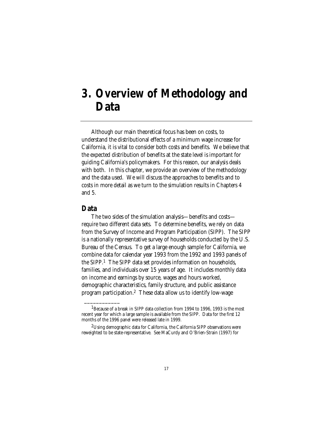### **3. Overview of Methodology and Data**

Although our main theoretical focus has been on costs, to understand the distributional effects of a minimum wage increase for California, it is vital to consider both costs and benefits. We believe that the expected distribution of benefits at the state level is important for guiding California's policymakers. For this reason, our analysis deals with both. In this chapter, we provide an overview of the methodology and the data used. We will discuss the approaches to benefits and to costs in more detail as we turn to the simulation results in Chapters 4 and 5.

### **Data**

\_\_\_\_\_\_\_\_\_\_\_\_

The two sides of the simulation analysis—benefits and costs require two different data sets. To determine benefits, we rely on data from the Survey of Income and Program Participation (SIPP). The SIPP is a nationally representative survey of households conducted by the U.S. Bureau of the Census. To get a large enough sample for California, we combine data for calendar year 1993 from the 1992 and 1993 panels of the SIPP.1 The SIPP data set provides information on households, families, and individuals over 15 years of age. It includes monthly data on income and earnings by source, wages and hours worked, demographic characteristics, family structure, and public assistance program participation.2 These data allow us to identify low-wage

<sup>&</sup>lt;sup>1</sup>Because of a break in SIPP data collection from 1994 to 1996, 1993 is the most recent year for which a large sample is available from the SIPP. Data for the first 12 months of the 1996 panel were released late in 1999.

<sup>&</sup>lt;sup>2</sup>Using demographic data for California, the California SIPP observations were reweighted to be state-representative. See MaCurdy and O'Brien-Strain (1997) for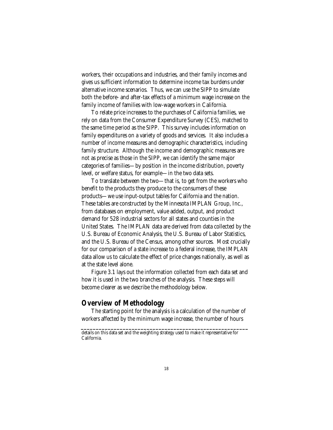workers, their occupations and industries, and their family incomes and gives us sufficient information to determine income tax burdens under alternative income scenarios. Thus, we can use the SIPP to simulate both the before- and after-tax effects of a minimum wage increase on the family income of families with low-wage workers in California.

To relate price increases to the purchases of California families, we rely on data from the Consumer Expenditure Survey (CES), matched to the same time period as the SIPP. This survey includes information on family expenditures on a variety of goods and services. It also includes a number of income measures and demographic characteristics, including family structure. Although the income and demographic measures are not as precise as those in the SIPP, we can identify the same major categories of families—by position in the income distribution, poverty level, or welfare status, for example—in the two data sets.

To translate between the two—that is, to get from the workers who benefit to the products they produce to the consumers of these products—we use input-output tables for California and the nation. These tables are constructed by the Minnesota IMPLAN Group, Inc., from databases on employment, value added, output, and product demand for 528 industrial sectors for all states and counties in the United States. The IMPLAN data are derived from data collected by the U.S. Bureau of Economic Analysis, the U.S. Bureau of Labor Statistics, and the U.S. Bureau of the Census, among other sources. Most crucially for our comparison of a state increase to a federal increase, the IMPLAN data allow us to calculate the effect of price changes nationally, as well as at the state level alone.

Figure 3.1 lays out the information collected from each data set and how it is used in the two branches of the analysis. These steps will become clearer as we describe the methodology below.

### **Overview of Methodology**

The starting point for the analysis is a calculation of the number of workers affected by the minimum wage increase, the number of hours

**\_\_\_\_\_\_\_\_\_\_\_\_\_\_\_\_\_\_\_\_\_\_\_\_\_\_\_\_\_\_\_\_\_\_\_\_\_\_\_\_\_\_\_\_\_\_\_\_\_\_\_\_\_\_\_\_**

details on this data set and the weighting strategy used to make it representative for California.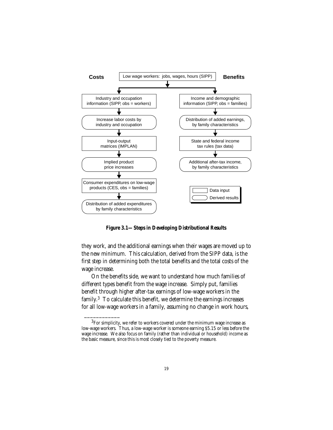

**Figure 3.1—Steps in Developing Distributional Results**

they work, and the additional earnings when their wages are moved up to the new minimum. This calculation, derived from the SIPP data, is the first step in determining both the total benefits and the total costs of the wage increase.

On the benefits side, we want to understand how much families of different types benefit from the wage increase. Simply put, families benefit through higher after-tax earnings of low-wage workers in the family.3 To calculate this benefit, we determine the earnings increases for all low-wage workers in a family, assuming no change in work hours,

 ${}^{3}$ For simplicity, we refer to workers covered under the minimum wage increase as low-wage workers. Thus, a low-wage worker is someone earning \$5.15 or less before the wage increase. We also focus on family (rather than individual or household) income as the basic measure, since this is most closely tied to the poverty measure.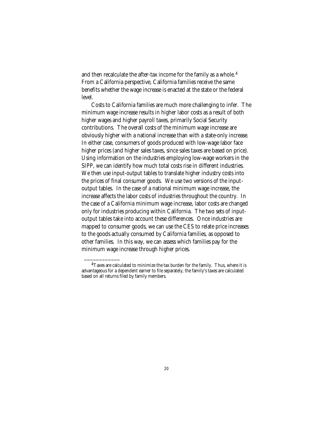and then recalculate the after-tax income for the family as a whole.<sup>4</sup> From a California perspective, California families receive the same benefits whether the wage increase is enacted at the state or the federal level.

Costs to California families are much more challenging to infer. The minimum wage increase results in higher labor costs as a result of both higher wages and higher payroll taxes, primarily Social Security contributions. The overall costs of the minimum wage increase are obviously higher with a national increase than with a state-only increase. In either case, consumers of goods produced with low-wage labor face higher prices (and higher sales taxes, since sales taxes are based on price). Using information on the industries employing low-wage workers in the SIPP, we can identify how much total costs rise in different industries. We then use input-output tables to translate higher industry costs into the prices of final consumer goods. We use two versions of the inputoutput tables. In the case of a national minimum wage increase, the increase affects the labor costs of industries throughout the country. In the case of a California minimum wage increase, labor costs are changed only for industries producing within California. The two sets of inputoutput tables take into account these differences. Once industries are mapped to consumer goods, we can use the CES to relate price increases to the goods actually consumed by California families, as opposed to other families. In this way, we can assess which families pay for the minimum wage increase through higher prices.

 $4$ Taxes are calculated to minimize the tax burden for the family. Thus, where it is advantageous for a dependent earner to file separately, the family's taxes are calculated based on all returns filed by family members.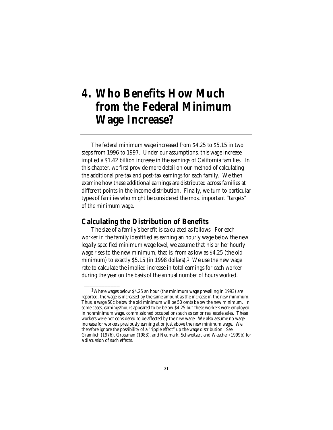### **4. Who Benefits How Much from the Federal Minimum Wage Increase?**

The federal minimum wage increased from \$4.25 to \$5.15 in two steps from 1996 to 1997. Under our assumptions, this wage increase implied a \$1.42 billion increase in the earnings of California families. In this chapter, we first provide more detail on our method of calculating the additional pre-tax and post-tax earnings for each family. We then examine how these additional earnings are distributed across families at different points in the income distribution. Finally, we turn to particular types of families who might be considered the most important "targets" of the minimum wage.

### **Calculating the Distribution of Benefits**

\_\_\_\_\_\_\_\_\_\_\_\_

The size of a family's benefit is calculated as follows. For each worker in the family identified as earning an hourly wage below the new legally specified minimum wage level, we assume that his or her hourly wage rises to the new minimum, that is, from as low as \$4.25 (the old minimum) to exactly  $$5.15$  (in 1998 dollars).<sup>1</sup> We use the new wage rate to calculate the implied increase in total earnings for each worker during the year on the basis of the annual number of hours worked.

<sup>&</sup>lt;sup>1</sup>Where wages below \$4.25 an hour (the minimum wage prevailing in 1993) are reported, the wage is increased by the same amount as the increase in the new minimum. Thus, a wage 50¢ below the old minimum will be 50 cents below the new minimum. In some cases, earnings/hours appeared to be below \$4.25 but these workers were employed in nonminimum wage, commissioned occupations such as car or real estate sales. These workers were not considered to be affected by the new wage. We also assume no wage increase for workers previously earning at or just above the new minimum wage. We therefore ignore the possibility of a "ripple effect" up the wage distribution. See Gramlich (1976), Grossman (1983), and Neumark, Schweitzer, and Wascher (1999b) for a discussion of such effects.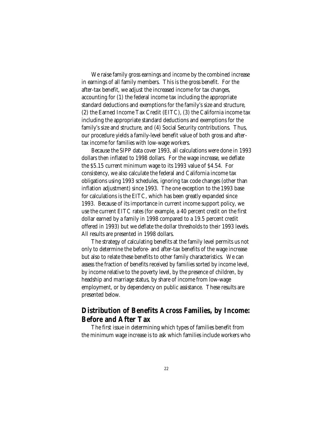We raise family gross earnings and income by the combined increase in earnings of all family members. This is the gross benefit. For the after-tax benefit, we adjust the increased income for tax changes, accounting for (1) the federal income tax including the appropriate standard deductions and exemptions for the family's size and structure, (2) the Earned Income Tax Credit (EITC), (3) the California income tax including the appropriate standard deductions and exemptions for the family's size and structure, and (4) Social Security contributions. Thus, our procedure yields a family-level benefit value of both gross and aftertax income for families with low-wage workers.

Because the SIPP data cover 1993, all calculations were done in 1993 dollars then inflated to 1998 dollars. For the wage increase, we deflate the \$5.15 current minimum wage to its 1993 value of \$4.54. For consistency, we also calculate the federal and California income tax obligations using 1993 schedules, ignoring tax code changes (other than inflation adjustment) since 1993. The one exception to the 1993 base for calculations is the EITC, which has been greatly expanded since 1993. Because of its importance in current income support policy, we use the current EITC rates (for example, a 40 percent credit on the first dollar earned by a family in 1998 compared to a 19.5 percent credit offered in 1993) but we deflate the dollar thresholds to their 1993 levels. All results are presented in 1998 dollars.

The strategy of calculating benefits at the family level permits us not only to determine the before- and after-tax benefits of the wage increase but also to relate these benefits to other family characteristics. We can assess the fraction of benefits received by families sorted by income level, by income relative to the poverty level, by the presence of children, by headship and marriage status, by share of income from low-wage employment, or by dependency on public assistance. These results are presented below.

### **Distribution of Benefits Across Families, by Income: Before and After Tax**

The first issue in determining which types of families benefit from the minimum wage increase is to ask which families include workers who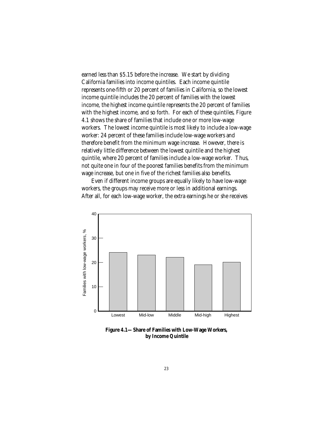earned less than \$5.15 before the increase. We start by dividing California families into income quintiles. Each income quintile represents one-fifth or 20 percent of families in California, so the lowest income quintile includes the 20 percent of families with the lowest income, the highest income quintile represents the 20 percent of families with the highest income, and so forth. For each of these quintiles, Figure 4.1 shows the share of families that include one or more low-wage workers. The lowest income quintile is most likely to include a low-wage worker: 24 percent of these families include low-wage workers and therefore benefit from the minimum wage increase. However, there is relatively little difference between the lowest quintile and the highest quintile, where 20 percent of families include a low-wage worker. Thus, not quite one in four of the poorest families benefits from the minimum wage increase, but one in five of the richest families also benefits.

Even if different income groups are equally likely to have low-wage workers, the groups may receive more or less in additional earnings. After all, for each low-wage worker, the extra earnings he or she receives



**Figure 4.1—Share of Families with Low-Wage Workers, by Income Quintile**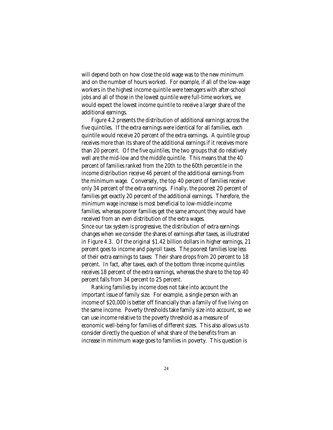will depend both on how close the old wage was to the new minimum and on the number of hours worked. For example, if all of the low-wage workers in the highest income quintile were teenagers with after-school jobs and all of those in the lowest quintile were full-time workers, we would expect the lowest income quintile to receive a larger share of the additional earnings.

Figure 4.2 presents the distribution of additional earnings across the five quintiles. If the extra earnings were identical for all families, each quintile would receive 20 percent of the extra earnings. A quintile group receives more than its share of the additional earnings if it receives more than 20 percent. Of the five quintiles, the two groups that do relatively well are the mid-low and the middle quintile. This means that the 40 percent of families ranked from the 20th to the 60th percentile in the income distribution receive 46 percent of the additional earnings from the minimum wage. Conversely, the top 40 percent of families receive only 34 percent of the extra earnings. Finally, the poorest 20 percent of families get exactly 20 percent of the additional earnings. Therefore, the minimum wage increase is most beneficial to low-middle income families, whereas poorer families get the same amount they would have received from an even distribution of the extra wages. Since our tax system is progressive, the distribution of extra earnings changes when we consider the shares of earnings after taxes, as illustrated in Figure 4.3. Of the original \$1.42 billion dollars in higher earnings, 21 percent goes to income and payroll taxes. The poorest families lose less of their extra earnings to taxes: Their share drops from 20 percent to 18 percent. In fact, after taxes, each of the bottom three income quintiles receives 18 percent of the extra earnings, whereas the share to the top 40 percent falls from 34 percent to 25 percent.

Ranking families by income does not take into account the important issue of family size. For example, a single person with an income of \$20,000 is better off financially than a family of five living on the same income. Poverty thresholds take family size into account, so we can use income relative to the poverty threshold as a measure of economic well-being for families of different sizes. This also allows us to consider directly the question of what share of the benefits from an increase in minimum wage goes to families in poverty. This question is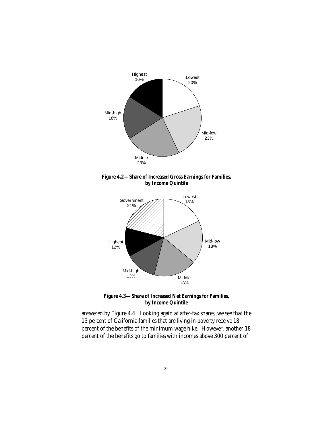







answered by Figure 4.4. Looking again at after-tax shares, we see that the 13 percent of California families that are living in poverty receive 18 percent of the benefits of the minimum wage hike. However, another 18 percent of the benefits go to families with incomes above 300 percent of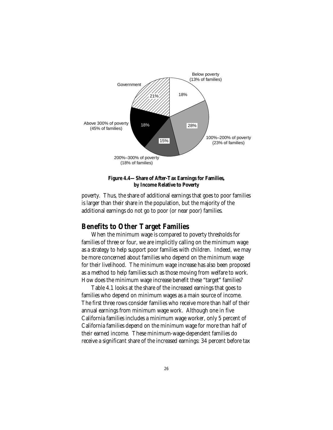

### **Figure 4.4—Share of After-Tax Earnings for Families, by Income Relative to Poverty**

poverty. Thus, the share of additional earnings that goes to poor families is larger than their share in the population, but the majority of the additional earnings do not go to poor (or near poor) families.

## **Benefits to Other Target Families**

When the minimum wage is compared to poverty thresholds for families of three or four, we are implicitly calling on the minimum wage as a strategy to help support poor families with children. Indeed, we may be more concerned about families who depend on the minimum wage for their livelihood. The minimum wage increase has also been proposed as a method to help families such as those moving from welfare to work. How does the minimum wage increase benefit these "target" families?

Table 4.1 looks at the share of the increased earnings that goes to families who depend on minimum wages as a main source of income. The first three rows consider families who receive more than half of their annual earnings from minimum wage work. Although one in five California families includes a minimum wage worker, only 5 percent of California families depend on the minimum wage for more than half of their earned income. These minimum-wage-dependent families do receive a significant share of the increased earnings: 34 percent before tax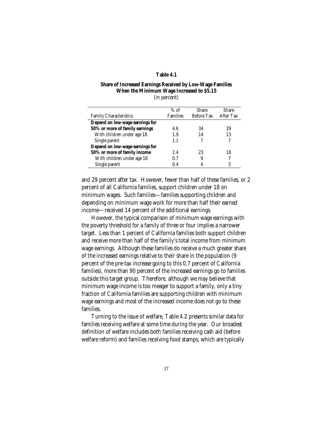#### **Table 4.1**

#### **Share of Increased Earnings Received by Low-Wage Families When the Minimum Wage Increased to \$5.15** (in percent)

|                                 | $%$ of          | <b>Share</b> | Share     |
|---------------------------------|-----------------|--------------|-----------|
| <b>Family Characteristics</b>   | <b>Families</b> | Before Tax   | After Tax |
| Depend on low-wage earnings for |                 |              |           |
| 50% or more of family earnings  | 4.6             | 34           | 29        |
| With children under age 18      | 1.9             | 14           | 13        |
| Single parent                   | 1.1             |              |           |
| Depend on low-wage earnings for |                 |              |           |
| 50% or more of family income    | 2.4             | 23           | 18        |
| With children under age 18      | 0.7             | 9            |           |
| Single parent                   | 0.4             |              | 3         |

and 29 percent after tax. However, fewer than half of these families, or 2 percent of all California families, support children under 18 on minimum wages. Such families—families supporting children and depending on minimum wage work for more than half their earned income—received 14 percent of the additional earnings.

However, the typical comparison of minimum wage earnings with the poverty threshold for a family of three or four implies a narrower target. Less than 1 percent of California families both support children and receive more than half of the family's total income from minimum wage earnings. Although these families do receive a much greater share of the increased earnings relative to their share in the population (9 percent of the pre-tax increase going to this 0.7 percent of California families), more than 90 percent of the increased earnings go to families outside this target group. Therefore, although we may believe that minimum wage income is too meager to support a family, only a tiny fraction of California families are supporting children with minimum wage earnings and most of the increased income does not go to these families.

Turning to the issue of welfare, Table 4.2 presents similar data for families receiving welfare at some time during the year. Our broadest definition of welfare includes both families receiving cash aid (before welfare reform) and families receiving food stamps, which are typically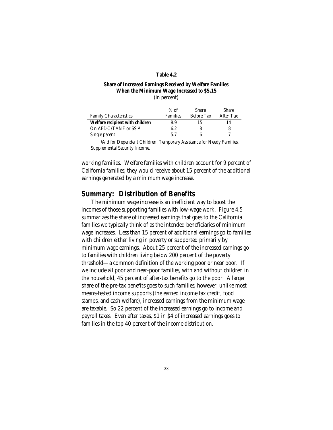#### **Table 4.2**

#### **Share of Increased Earnings Received by Welfare Families When the Minimum Wage Increased to \$5.15** (in percent)

|                                 | $%$ of          | <b>Share</b>      | <b>Share</b> |
|---------------------------------|-----------------|-------------------|--------------|
| <b>Family Characteristics</b>   | <b>Families</b> | <b>Before Tax</b> | After Tax    |
| Welfare recipient with children | 8.9             | 15                | 14           |
| On AFDC/TANF or SSIa            | 6.2             |                   | 8            |
| Single parent                   | 57              |                   |              |
|                                 |                 |                   |              |

aAid for Dependent Children, Temporary Assistance for Needy Families, Supplemental Security Income.

working families. Welfare families with children account for 9 percent of California families; they would receive about 15 percent of the additional earnings generated by a minimum wage increase.

### **Summary: Distribution of Benefits**

The minimum wage increase is an inefficient way to boost the incomes of those supporting families with low-wage work. Figure 4.5 summarizes the share of increased earnings that goes to the California families we typically think of as the intended beneficiaries of minimum wage increases. Less than 15 percent of additional earnings go to families with children either living in poverty or supported primarily by minimum wage earnings. About 25 percent of the increased earnings go to families with children living below 200 percent of the poverty threshold—a common definition of the working poor or near poor. If we include all poor and near-poor families, with and without children in the household, 45 percent of after-tax benefits go to the poor. A larger share of the pre-tax benefits goes to such families; however, unlike most means-tested income supports (the earned income tax credit, food stamps, and cash welfare), increased earnings from the minimum wage are taxable. So 22 percent of the increased earnings go to income and payroll taxes. Even after taxes, \$1 in \$4 of increased earnings goes to families in the top 40 percent of the income distribution.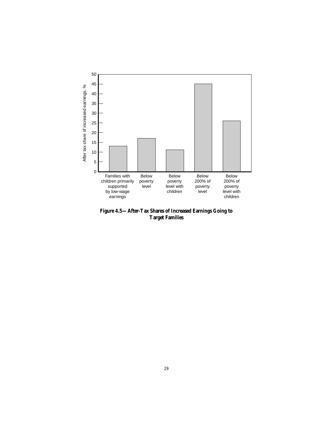

**Figure 4.5—After-Tax Shares of Increased Earnings Going to Target Families**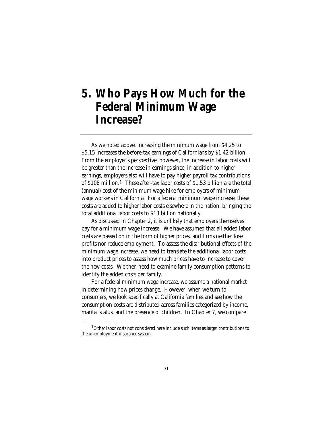## **5. Who Pays How Much for the Federal Minimum Wage Increase?**

As we noted above, increasing the minimum wage from \$4.25 to \$5.15 increases the before-tax earnings of Californians by \$1.42 billion. From the employer's perspective, however, the increase in labor costs will be greater than the increase in earnings since, in addition to higher earnings, employers also will have to pay higher payroll tax contributions of \$108 million.1 These after-tax labor costs of \$1.53 billion are the total (annual) cost of the minimum wage hike for employers of minimum wage workers in California. For a federal minimum wage increase, these costs are added to higher labor costs elsewhere in the nation, bringing the total additional labor costs to \$13 billion nationally.

As discussed in Chapter 2, it is unlikely that employers themselves pay for a minimum wage increase. We have assumed that all added labor costs are passed on in the form of higher prices, and firms neither lose profits nor reduce employment. To assess the distributional effects of the minimum wage increase, we need to translate the additional labor costs into product prices to assess how much prices have to increase to cover the new costs. We then need to examine family consumption patterns to identify the added costs per family.

For a federal minimum wage increase, we assume a national market in determining how prices change. However, when we turn to consumers, we look specifically at California families and see how the consumption costs are distributed across families categorized by income, marital status, and the presence of children. In Chapter 7, we compare

<sup>&</sup>lt;sup>1</sup>Other labor costs not considered here include such items as larger contributions to the unemployment insurance system.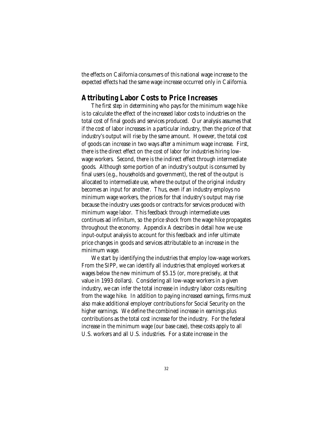the effects on California consumers of this national wage increase to the expected effects had the same wage increase occurred only in California.

## **Attributing Labor Costs to Price Increases**

The first step in determining who pays for the minimum wage hike is to calculate the effect of the increased labor costs to industries on the total cost of final goods and services produced. Our analysis assumes that if the cost of labor increases in a particular industry, then the price of that industry's output will rise by the same amount. However, the total cost of goods can increase in two ways after a minimum wage increase. First, there is the direct effect on the cost of labor for industries hiring lowwage workers. Second, there is the indirect effect through intermediate goods. Although some portion of an industry's output is consumed by final users (e.g., households and government), the rest of the output is allocated to intermediate use, where the output of the original industry becomes an input for another. Thus, even if an industry employs no minimum wage workers, the prices for that industry's output may rise because the industry uses goods or contracts for services produced with minimum wage labor. This feedback through intermediate uses continues ad infinitum, so the price shock from the wage hike propagates throughout the economy. Appendix A describes in detail how we use input-output analysis to account for this feedback and infer ultimate price changes in goods and services attributable to an increase in the minimum wage.

We start by identifying the industries that employ low-wage workers. From the SIPP, we can identify all industries that employed workers at wages below the new minimum of \$5.15 (or, more precisely, at that value in 1993 dollars). Considering all low-wage workers in a given industry, we can infer the total increase in industry labor costs resulting from the wage hike. In addition to paying increased earnings, firms must also make additional employer contributions for Social Security on the higher earnings. We define the combined increase in earnings plus contributions as the total cost increase for the industry. For the federal increase in the minimum wage (our base case), these costs apply to all U.S. workers and all U.S. industries. For a state increase in the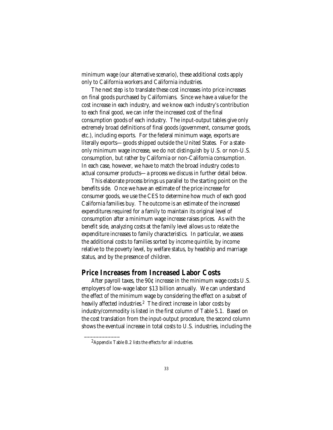minimum wage (our alternative scenario), these additional costs apply only to California workers and California industries.

The next step is to translate these cost increases into price increases on final goods purchased by Californians. Since we have a value for the cost increase in each industry, and we know each industry's contribution to each final good, we can infer the increased cost of the final consumption goods of each industry. The input-output tables give only extremely broad definitions of final goods (government, consumer goods, etc.), including exports. For the federal minimum wage, exports are literally exports—goods shipped outside the United States. For a stateonly minimum wage increase, we do not distinguish by U.S. or non-U.S. consumption, but rather by California or non-California consumption. In each case, however, we have to match the broad industry codes to actual consumer products—a process we discuss in further detail below.

This elaborate process brings us parallel to the starting point on the benefits side. Once we have an estimate of the price increase for consumer goods, we use the CES to determine how much of each good California families buy. The outcome is an estimate of the increased expenditures required for a family to maintain its original level of consumption after a minimum wage increase raises prices. As with the benefit side, analyzing costs at the family level allows us to relate the expenditure increases to family characteristics. In particular, we assess the additional costs to families sorted by income quintile, by income relative to the poverty level, by welfare status, by headship and marriage status, and by the presence of children.

## **Price Increases from Increased Labor Costs**

After payroll taxes, the 90¢ increase in the minimum wage costs U.S. employers of low-wage labor \$13 billion annually. We can understand the effect of the minimum wage by considering the effect on a subset of heavily affected industries.<sup>2</sup> The direct increase in labor costs by industry/commodity is listed in the first column of Table 5.1. Based on the cost translation from the input-output procedure, the second column shows the eventual increase in total costs to U.S. industries, including the

<sup>2</sup>Appendix Table B.2 lists the effects for all industries.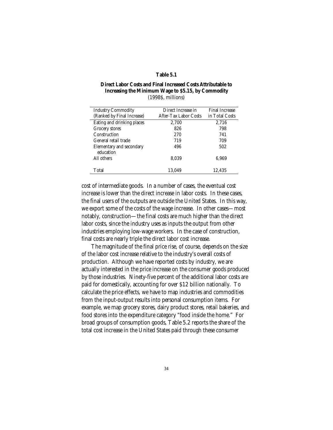#### **Table 5.1**

### **Direct Labor Costs and Final Increased Costs Attributable to Increasing the Minimum Wage to \$5.15, by Commodity** (1998\$, millions)

| <b>Industry Commodity</b>  | Direct Increase in    | <b>Final Increase</b> |
|----------------------------|-----------------------|-----------------------|
| (Ranked by Final Increase) | After-Tax Labor Costs | in Total Costs        |
| Eating and drinking places | 2,700                 | 2,716                 |
| Grocery stores             | 826                   | 798                   |
| Construction               | 270                   | 741                   |
| General retail trade       | 719                   | 709                   |
| Elementary and secondary   | 496                   | 502                   |
| education                  |                       |                       |
| All others                 | 8.039                 | 6.969                 |
|                            |                       |                       |
| Total                      | 13.049                | 12.435                |
|                            |                       |                       |

cost of intermediate goods. In a number of cases, the eventual cost increase is lower than the direct increase in labor costs. In these cases, the final users of the outputs are outside the United States. In this way, we export some of the costs of the wage increase. In other cases—most notably, construction—the final costs are much higher than the direct labor costs, since the industry uses as inputs the output from other industries employing low-wage workers. In the case of construction, final costs are nearly triple the direct labor cost increase.

The magnitude of the final price rise, of course, depends on the size of the labor cost increase relative to the industry's overall costs of production. Although we have reported costs by industry, we are actually interested in the price increase on the consumer goods produced by those industries. Ninety-five percent of the additional labor costs are paid for domestically, accounting for over \$12 billion nationally. To calculate the price effects, we have to map industries and commodities from the input-output results into personal consumption items. For example, we map grocery stores, dairy product stores, retail bakeries, and food stores into the expenditure category "food inside the home." For broad groups of consumption goods, Table 5.2 reports the share of the total cost increase in the United States paid through these consumer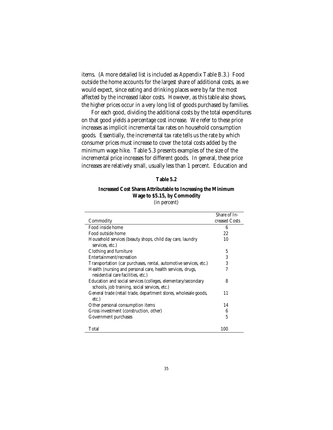items. (A more detailed list is included as Appendix Table B.3.) Food outside the home accounts for the largest share of additional costs, as we would expect, since eating and drinking places were by far the most affected by the increased labor costs. However, as this table also shows, the higher prices occur in a very long list of goods purchased by families.

For each good, dividing the additional costs by the total expenditures on that good yields a percentage cost increase. We refer to these price increases as implicit incremental tax rates on household consumption goods. Essentially, the incremental tax rate tells us the rate by which consumer prices must increase to cover the total costs added by the minimum wage hike. Table 5.3 presents examples of the size of the incremental price increases for different goods. In general, these price increases are relatively small, usually less than 1 percent. Education and

#### **Table 5.2**

### **Increased Cost Shares Attributable to Increasing the Minimum Wage to \$5.15, by Commodity** (in percent)

|                                                                   | Share of In-  |
|-------------------------------------------------------------------|---------------|
| Commodity                                                         | creased Costs |
| Food inside home                                                  | 6             |
| Food outside home                                                 | 22            |
| Household services (beauty shops, child day care, laundry         | 10            |
| services, etc.)                                                   |               |
| Clothing and furniture                                            | 5             |
| Entertainment/recreation                                          | 3             |
| Transportation (car purchases, rental, automotive services, etc.) | 3             |
| Health (nursing and personal care, health services, drugs,        | 7             |
| residential care facilities, etc.)                                |               |
| Education and social services (colleges, elementary/secondary     | 8             |
| schools, job training, social services, etc.)                     |               |
| General trade (retail trade, department stores, wholesale goods,  | 11            |
| etc.)                                                             |               |
| Other personal consumption items                                  | 14            |
| Gross investment (construction, other)                            | 6             |
| Government purchases                                              | 5             |
|                                                                   |               |
| Total                                                             | 100           |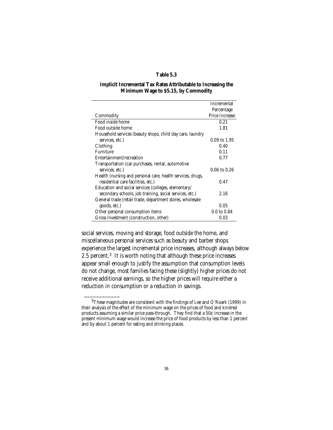### **Table 5.3**

#### **Implicit Incremental Tax Rates Attributable to Increasing the Minimum Wage to \$5.15, by Commodity**

|                                                            | <b>Incremental</b>     |
|------------------------------------------------------------|------------------------|
|                                                            | Percentage             |
| Commodity                                                  | <b>Price Increase</b>  |
| Food inside home                                           | 0.21                   |
| Food outside home                                          | 1.81                   |
| Household services (beauty shops, child day care, laundry  |                        |
| services, etc.)                                            | 0.09 to 1.95           |
| Clothing                                                   | 0.40                   |
| Furniture                                                  | 0.11                   |
| Entertainment/recreation                                   | 0.77                   |
| Transportation (car purchases, rental, automotive          |                        |
| services, etc.)                                            | $0.06$ to $0.26$       |
| Health (nursing and personal care, health services, drugs, |                        |
| residential care facilities, etc.)                         | 0.47                   |
| Education and social services (colleges, elementary/       |                        |
| secondary schools, job training, social services, etc.)    | 2.16                   |
| General trade (retail trade, department stores, wholesale  |                        |
| goods, etc.)                                               | 0.05                   |
| Other personal consumption items                           | $0.0 \text{ to } 0.84$ |
| Gross investment (construction, other)                     | 0.03                   |

social services, moving and storage, food outside the home, and miscellaneous personal services such as beauty and barber shops experience the largest incremental price increases, although always below 2.5 percent.3 It is worth noting that although these price increases appear small enough to justify the assumption that consumption levels do not change, most families facing these (slightly) higher prices do not receive additional earnings, so the higher prices will require either a reduction in consumption or a reduction in savings.

 $3$ These magnitudes are consistent with the findings of Lee and O'Roark (1999) in their analysis of the effect of the minimum wage on the prices of food and kindred products assuming a similar price pass-through. They find that a 50¢ increase in the present minimum wage would increase the price of food products by less than 1 percent and by about 1 percent for eating and drinking places.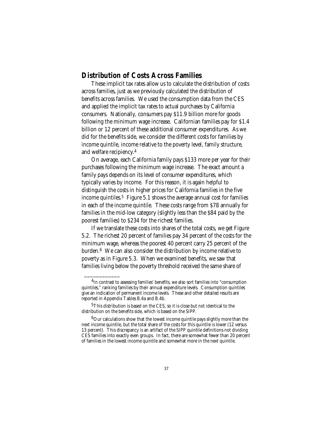## **Distribution of Costs Across Families**

These implicit tax rates allow us to calculate the distribution of costs across families, just as we previously calculated the distribution of benefits across families. We used the consumption data from the CES and applied the implicit tax rates to actual purchases by California consumers. Nationally, consumers pay \$11.9 billion more for goods following the minimum wage increase. Californian families pay for \$1.4 billion or 12 percent of these additional consumer expenditures. As we did for the benefits side, we consider the different costs for families by income quintile, income relative to the poverty level, family structure, and welfare recipiency.4

On average, each California family pays \$133 more per year for their purchases following the minimum wage increase. The exact amount a family pays depends on its level of consumer expenditures, which typically varies by income. For this reason, it is again helpful to distinguish the costs in higher prices for California families in the five income quintiles.<sup>5</sup> Figure 5.1 shows the average annual cost for families in each of the income quintile. These costs range from \$78 annually for families in the mid-low category (slightly less than the \$84 paid by the poorest families) to \$234 for the richest families.

If we translate these costs into shares of the total costs, we get Figure 5.2. The richest 20 percent of families pay 34 percent of the costs for the minimum wage, whereas the poorest 40 percent carry 25 percent of the burden.6 We can also consider the distribution by income relative to poverty as in Figure 5.3. When we examined benefits, we saw that families living below the poverty threshold received the same share of

<sup>&</sup>lt;sup>4</sup>In contrast to assessing families' benefits, we also sort families into "consumption" quintiles," ranking families by their annual expenditure levels. Consumption quintiles give an indication of permanent income levels. These and other detailed results are reported in Appendix Tables B.4a and B.4b.

<sup>&</sup>lt;sup>5</sup>This distribution is based on the CES, so it is close but not identical to the distribution on the benefits side, which is based on the SIPP.

 $6$ Our calculations show that the lowest income quintile pays slightly more than the next income quintile, but the total share of the costs for this quintile is lower (12 versus 13 percent). This discrepancy is an artifact of the SIPP quintile definitions not dividing CES families into exactly even groups. In fact, there are somewhat fewer than 20 percent of families in the lowest income quintile and somewhat more in the next quintile.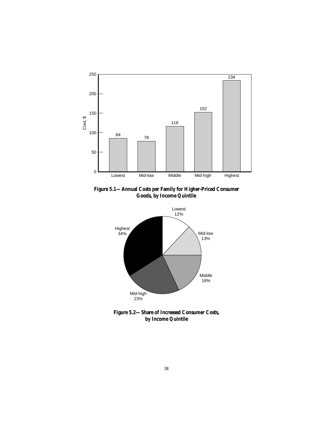

**Figure 5.1—Annual Costs per Family for Higher-Priced Consumer Goods, by Income Quintile**



**Figure 5.2—Share of Increased Consumer Costs, by Income Quintile**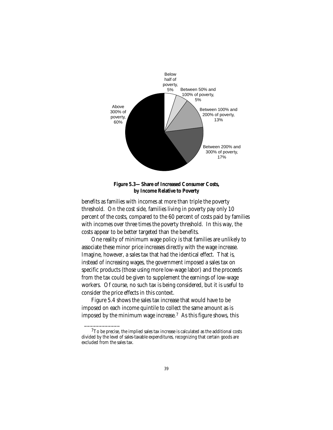



benefits as families with incomes at more than triple the poverty threshold. On the cost side, families living in poverty pay only 10 percent of the costs, compared to the 60 percent of costs paid by families with incomes over three times the poverty threshold. In this way, the costs appear to be better targeted than the benefits.

One reality of minimum wage policy is that families are unlikely to associate these minor price increases directly with the wage increase. Imagine, however, a sales tax that had the identical effect. That is, instead of increasing wages, the government imposed a sales tax on specific products (those using more low-wage labor) and the proceeds from the tax could be given to supplement the earnings of low-wage workers. Of course, no such tax is being considered, but it is useful to consider the price effects in this context.

Figure 5.4 shows the sales tax increase that would have to be imposed on each income quintile to collect the same amount as is imposed by the minimum wage increase.7 As this figure shows, this

 $7$ To be precise, the implied sales tax increase is calculated as the additional costs divided by the level of sales-taxable expenditures, recognizing that certain goods are excluded from the sales tax.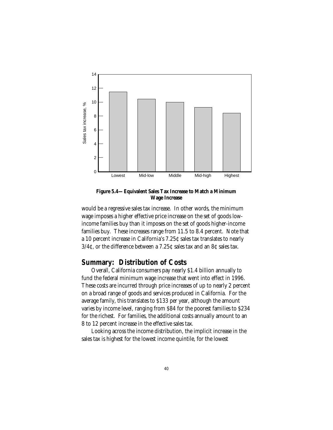

**Figure 5.4—Equivalent Sales Tax Increase to Match a Minimum Wage Increase**

would be a regressive sales tax increase. In other words, the minimum wage imposes a higher effective price increase on the set of goods lowincome families buy than it imposes on the set of goods higher-income families buy. These increases range from 11.5 to 8.4 percent. Note that a 10 percent increase in California's 7.25¢ sales tax translates to nearly 3/4¢, or the difference between a 7.25¢ sales tax and an 8¢ sales tax.

## **Summary: Distribution of Costs**

Overall, California consumers pay nearly \$1.4 billion annually to fund the federal minimum wage increase that went into effect in 1996. These costs are incurred through price increases of up to nearly 2 percent on a broad range of goods and services produced in California. For the average family, this translates to \$133 per year, although the amount varies by income level, ranging from \$84 for the poorest families to \$234 for the richest. For families, the additional costs annually amount to an 8 to 12 percent increase in the effective sales tax.

Looking across the income distribution, the implicit increase in the sales tax is highest for the lowest income quintile, for the lowest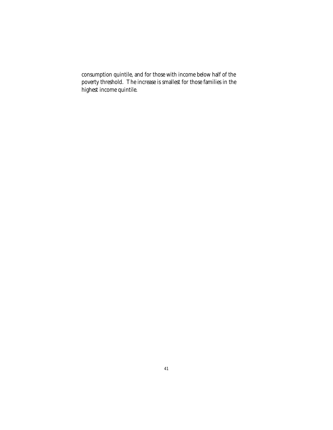consumption quintile, and for those with income below half of the poverty threshold. The increase is smallest for those families in the highest income quintile.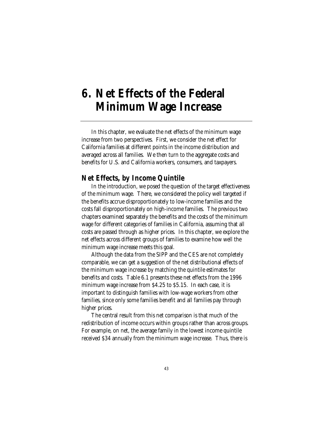## **6. Net Effects of the Federal Minimum Wage Increase**

In this chapter, we evaluate the net effects of the minimum wage increase from two perspectives. First, we consider the net effect for California families at different points in the income distribution and averaged across all families. We then turn to the aggregate costs and benefits for U.S. and California workers, consumers, and taxpayers.

## **Net Effects, by Income Quintile**

In the introduction, we posed the question of the target effectiveness of the minimum wage. There, we considered the policy well targeted if the benefits accrue disproportionately to low-income families and the costs fall disproportionately on high-income families. The previous two chapters examined separately the benefits and the costs of the minimum wage for different categories of families in California, assuming that all costs are passed through as higher prices. In this chapter, we explore the net effects across different groups of families to examine how well the minimum wage increase meets this goal.

Although the data from the SIPP and the CES are not completely comparable, we can get a suggestion of the net distributional effects of the minimum wage increase by matching the quintile estimates for benefits and costs. Table 6.1 presents these net effects from the 1996 minimum wage increase from \$4.25 to \$5.15. In each case, it is important to distinguish families with low-wage workers from other families, since only some families benefit and all families pay through higher prices.

The central result from this net comparison is that much of the redistribution of income occurs within groups rather than across groups. For example, on net, the average family in the lowest income quintile received \$34 annually from the minimum wage increase. Thus, there is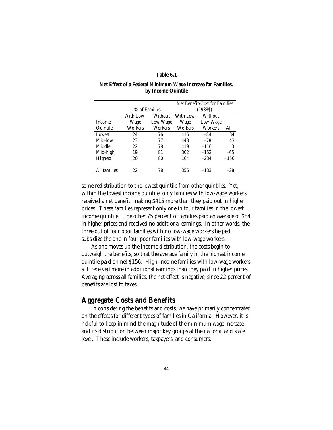#### **Table 6.1**

#### **Net Effect of a Federal Minimum Wage Increase for Families, by Income Quintile**

|                |               |          |           | Net Benefit/Cost for Families |        |
|----------------|---------------|----------|-----------|-------------------------------|--------|
|                | % of Families |          |           | (1988S)                       |        |
|                | With Low-     | Without  | With Low- | Without                       |        |
| <b>Income</b>  | Wage          | Low-Wage | Wage      | Low-Wage                      |        |
| Quintile       | Workers       | Workers  | Workers   | Workers                       | All    |
| Lowest         | 24            | 76       | 415       | $-84$                         | 34     |
| Mid-low        | 23            | 77       | 448       | $-78$                         | 43     |
| Middle         | 22            | 78       | 419       | $-116$                        | 3      |
| Mid-high       | 19            | 81       | 302       | $-152$                        | $-65$  |
| <b>Highest</b> | 20            | 80       | 164       | $-234$                        | $-156$ |
|                |               |          |           |                               |        |
| All families   | 22            | 78       | 356       | $-133$                        | $-28$  |

some redistribution to the lowest quintile from other quintiles. Yet, within the lowest income quintile, only families with low-wage workers received a net benefit, making \$415 more than they paid out in higher prices. These families represent only one in four families in the lowest income quintile. The other 75 percent of families paid an average of \$84 in higher prices and received no additional earnings. In other words, the three out of four poor families with no low-wage workers helped subsidize the one in four poor families with low-wage workers.

As one moves up the income distribution, the costs begin to outweigh the benefits, so that the average family in the highest income quintile paid on net \$156. High-income families with low-wage workers still received more in additional earnings than they paid in higher prices. Averaging across all families, the net effect is negative, since 22 percent of benefits are lost to taxes.

## **Aggregate Costs and Benefits**

In considering the benefits and costs, we have primarily concentrated on the effects for different types of families in California. However, it is helpful to keep in mind the magnitude of the minimum wage increase and its distribution between major key groups at the national and state level. These include workers, taxpayers, and consumers.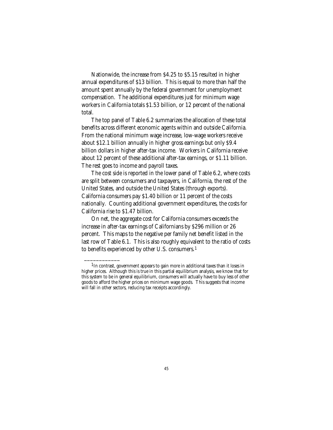Nationwide, the increase from \$4.25 to \$5.15 resulted in higher annual expenditures of \$13 billion. This is equal to more than half the amount spent annually by the federal government for unemployment compensation. The additional expenditures just for minimum wage workers in California totals \$1.53 billion, or 12 percent of the national total.

The top panel of Table 6.2 summarizes the allocation of these total benefits across different economic agents within and outside California. From the national minimum wage increase, low-wage workers receive about \$12.1 billion annually in higher gross earnings but only \$9.4 billion dollars in higher after-tax income. Workers in California receive about 12 percent of these additional after-tax earnings, or \$1.11 billion. The rest goes to income and payroll taxes.

The cost side is reported in the lower panel of Table 6.2, where costs are split between consumers and taxpayers, in California, the rest of the United States, and outside the United States (through exports). California consumers pay \$1.40 billion or 11 percent of the costs nationally. Counting additional government expenditures, the costs for California rise to \$1.47 billion.

On net, the aggregate cost for California consumers exceeds the increase in after-tax earnings of Californians by \$296 million or 26 percent. This maps to the negative per family net benefit listed in the last row of Table 6.1. This is also roughly equivalent to the ratio of costs to benefits experienced by other U.S. consumers.1

 $1$ In contrast, government appears to gain more in additional taxes than it loses in higher prices. Although this is true in this partial equilibrium analysis, we know that for this system to be in general equilibrium, consumers will actually have to buy less of other goods to afford the higher prices on minimum wage goods. This suggests that income will fall in other sectors, reducing tax receipts accordingly.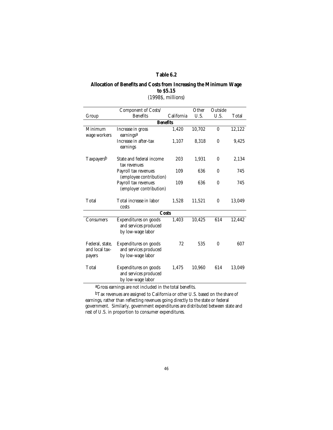#### **Table 6.2**

### **Allocation of Benefits and Costs from Increasing the Minimum Wage to \$5.15** (1998\$, millions)

#### Group Component of Costs/ Benefits California **Other** U.S. Outside U.S. Total **Benefits** Minimum wage workers Increase in gross earningsa 1,420 10,702 0 12,122 Increase in after-tax earnings 1,107 8,318 0 9,425 Taxpayers<sup>b</sup> State and federal income tax revenues 203 1,931 0 2,134 Payroll tax revenues (employee contribution) 109 636 0 745 Payroll tax revenues (employer contribution) 109 636 0 745 Total Total increase in labor costs 1,528 11,521 0 13,049 **Costs** Consumers Expenditures on goods and services produced by low-wage labor 1,403 10,425 614 12,442 Federal, state, and local taxpayers Expenditures on goods and services produced by low-wage labor 72 535 0 607 Total Expenditures on goods and services produced by low-wage labor 1,475 10,960 614 13,049

aGross earnings are not included in the total benefits.

bTax revenues are assigned to California or other U.S. based on the share of earnings, rather than reflecting revenues going directly to the state or federal government. Similarly, government expenditures are distributed between state and rest of U.S. in proportion to consumer expenditures.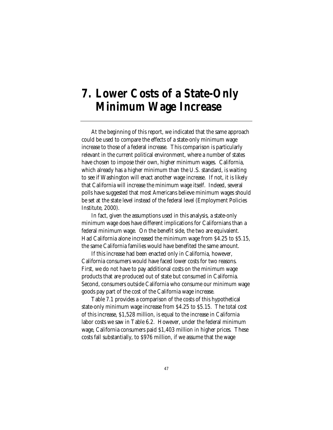## **7. Lower Costs of a State-Only Minimum Wage Increase**

At the beginning of this report, we indicated that the same approach could be used to compare the effects of a state-only minimum wage increase to those of a federal increase. This comparison is particularly relevant in the current political environment, where a number of states have chosen to impose their own, higher minimum wages. California, which already has a higher minimum than the U.S. standard, is waiting to see if Washington will enact another wage increase. If not, it is likely that California will increase the minimum wage itself. Indeed, several polls have suggested that most Americans believe minimum wages should be set at the state level instead of the federal level (Employment Policies Institute, 2000).

In fact, given the assumptions used in this analysis, a state-only minimum wage does have different implications for Californians than a federal minimum wage. On the benefit side, the two are equivalent. Had California alone increased the minimum wage from \$4.25 to \$5.15, the same California families would have benefited the same amount.

If this increase had been enacted only in California, however, California consumers would have faced lower costs for two reasons. First, we do not have to pay additional costs on the minimum wage products that are produced out of state but consumed in California. Second, consumers outside California who consume our minimum wage goods pay part of the cost of the California wage increase.

Table 7.1 provides a comparison of the costs of this hypothetical state-only minimum wage increase from \$4.25 to \$5.15. The total cost of this increase, \$1,528 million, is equal to the increase in California labor costs we saw in Table 6.2. However, under the federal minimum wage, California consumers paid \$1,403 million in higher prices. These costs fall substantially, to \$976 million, if we assume that the wage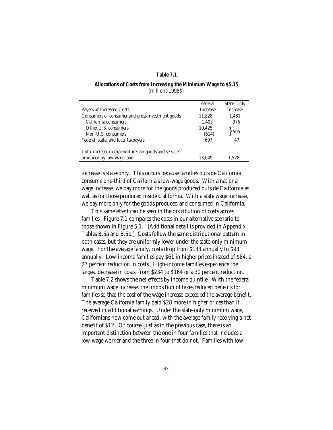#### **Table 7.1**

#### **Allocations of Costs from Increasing the Minimum Wage to \$5.15** (millions 1998\$)

|                                                      | Federal         | State-Only      |
|------------------------------------------------------|-----------------|-----------------|
| Payers of Increased Costs                            | <b>Increase</b> | <b>Increase</b> |
| Consumers of consumer and gross investment goods     | 11,828          | 1.481           |
| California consumers                                 | 1,403           | 976             |
| Other U.S. consumers                                 | 10,425          |                 |
| Non-U.S. consumers                                   | (614)           | 505             |
| Federal, state, and local taxpayers                  | 607             | 47              |
|                                                      |                 |                 |
| Total increase in expenditures on goods and services |                 |                 |
| produced by low-wage labor                           | 13.049          | 1.528           |
|                                                      |                 |                 |

increase is state-only. This occurs because families outside California consume one-third of California's low-wage goods. With a national wage increase, we pay more for the goods produced outside California as well as for those produced inside California. With a state wage increase, we pay more only for the goods produced and consumed in California.

This same effect can be seen in the distribution of costs across families. Figure 7.1 compares the costs in our alternative scenario to those shown in Figure 5.1. (Additional detail is provided in Appendix Tables B.5a and B.5b.) Costs follow the same distributional pattern in both cases, but they are uniformly lower under the state-only minimum wage. For the average family, costs drop from \$133 annually to \$93 annually. Low-income families pay \$61 in higher prices instead of \$84, a 27 percent reduction in costs. High-income families experience the largest decrease in costs, from \$234 to \$164 or a 30 percent reduction.

Table 7.2 shows the net effects by income quintile. With the federal minimum wage increase, the imposition of taxes reduced benefits for families so that the cost of the wage increase exceeded the average benefit. The average California family paid \$28 more in higher prices than it received in additional earnings. Under the state-only minimum wage, Californians now come out ahead, with the average family receiving a net benefit of \$12. Of course, just as in the previous case, there is an important distinction between the one in four families that includes a low-wage worker and the three in four that do not. Families with low-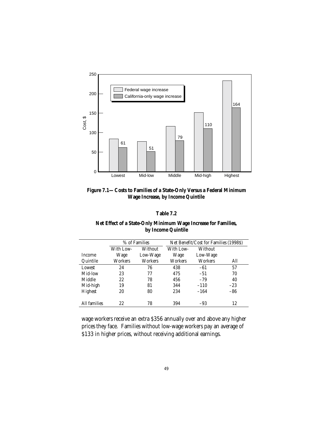

**Figure 7.1—Costs to Families of a State-Only Versus a Federal Minimum Wage Increase, by Income Quintile**

| Table 7.2 |  |
|-----------|--|
|-----------|--|

| Net Effect of a State-Only Minimum Wage Increase for Families, |  |
|----------------------------------------------------------------|--|
| by Income Quintile                                             |  |

|               | % of Families |          | Net Benefit/Cost for Families (1998\$) |          |       |
|---------------|---------------|----------|----------------------------------------|----------|-------|
|               | With Low-     | Without  | <b>With Low-</b>                       | Without  |       |
| <b>Income</b> | Wage          | Low-Wage | Wage                                   | Low-Wage |       |
| Quintile      | Workers       | Workers  | Workers                                | Workers  | All   |
| Lowest        | 24            | 76       | 438                                    | -61      | 57    |
| Mid-low       | 23            | 77       | 475                                    | $-51$    | 70    |
| Middle        | 22            | 78       | 456                                    | $-79$    | 40    |
| Mid-high      | 19            | 81       | 344                                    | $-110$   | $-23$ |
| Highest       | 20            | 80       | 234                                    | $-164$   | $-86$ |
|               |               |          |                                        |          |       |
| All families  | 22            | 78       | 394                                    | $-93$    | 12    |

wage workers receive an extra \$356 annually over and above any higher prices they face. Families without low-wage workers pay an average of \$133 in higher prices, without receiving additional earnings.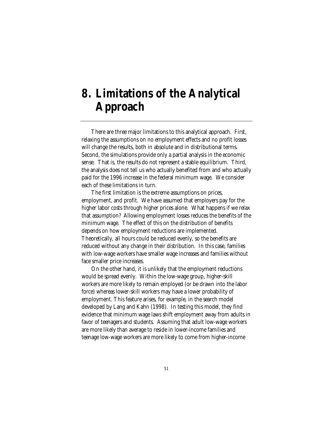## **8. Limitations of the Analytical Approach**

There are three major limitations to this analytical approach. First, relaxing the assumptions on no employment effects and no profit losses will change the results, both in absolute and in distributional terms. Second, the simulations provide only a partial analysis in the economic sense. That is, the results do not represent a stable equilibrium. Third, the analysis does not tell us who actually benefited from and who actually paid for the 1996 increase in the federal minimum wage. We consider each of these limitations in turn.

The first limitation is the extreme assumptions on prices, employment, and profit. We have assumed that employers pay for the higher labor costs through higher prices alone. What happens if we relax that assumption? Allowing employment losses reduces the benefits of the minimum wage. The effect of this on the distribution of benefits depends on how employment reductions are implemented. Theoretically, all hours could be reduced evenly, so the benefits are reduced without any change in their distribution. In this case, families with low-wage workers have smaller wage increases and families without face smaller price increases.

On the other hand, it is unlikely that the employment reductions would be spread evenly. Within the low-wage group, higher-skill workers are more likely to remain employed (or be drawn into the labor force) whereas lower-skill workers may have a lower probability of employment. This feature arises, for example, in the search model developed by Lang and Kahn (1998). In testing this model, they find evidence that minimum wage laws shift employment away from adults in favor of teenagers and students. Assuming that adult low-wage workers are more likely than average to reside in lower-income families and teenage low-wage workers are more likely to come from higher-income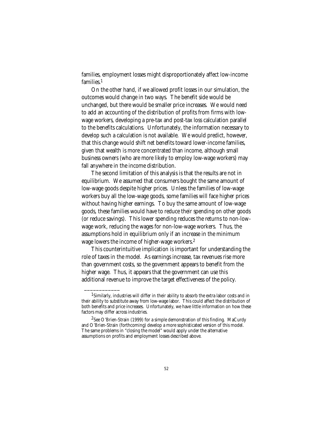families, employment losses might disproportionately affect low-income families.1

On the other hand, if we allowed profit losses in our simulation, the outcomes would change in two ways. The benefit side would be unchanged, but there would be smaller price increases. We would need to add an accounting of the distribution of profits from firms with lowwage workers, developing a pre-tax and post-tax loss calculation parallel to the benefits calculations. Unfortunately, the information necessary to develop such a calculation is not available. We would predict, however, that this change would shift net benefits toward lower-income families, given that wealth is more concentrated than income, although small business owners (who are more likely to employ low-wage workers) may fall anywhere in the income distribution.

The second limitation of this analysis is that the results are not in equilibrium. We assumed that consumers bought the same amount of low-wage goods despite higher prices. Unless the families of low-wage workers buy all the low-wage goods, some families will face higher prices without having higher earnings. To buy the same amount of low-wage goods, these families would have to reduce their spending on other goods (or reduce savings). This lower spending reduces the returns to non-lowwage work, reducing the wages for non-low-wage workers. Thus, the assumptions hold in equilibrium only if an increase in the minimum wage lowers the income of higher-wage workers.2

This counterintuitive implication is important for understanding the role of taxes in the model. As earnings increase, tax revenues rise more than government costs, so the government appears to benefit from the higher wage. Thus, it appears that the government can use this additional revenue to improve the target effectiveness of the policy.

 $^{\rm l}$ Similarly, industries will differ in their ability to absorb the extra labor costs and in their ability to substitute away from low-wage labor. This could affect the distribution of both benefits and price increases. Unfortunately, we have little information on how these factors may differ across industries.

<sup>2</sup>See O'Brien-Strain (1999) for a simple demonstration of this finding. MaCurdy and O'Brien-Strain (forthcoming) develop a more sophisticated version of this model. The same problems in "closing the model" would apply under the alternative assumptions on profits and employment losses described above.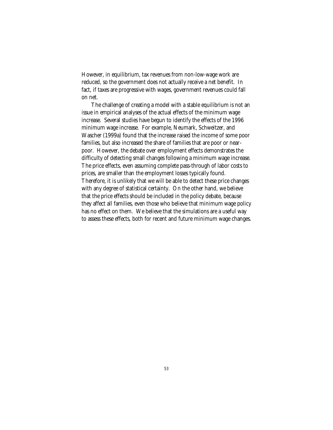However, in equilibrium, tax revenues from non-low-wage work are reduced, so the government does not actually receive a net benefit. In fact, if taxes are progressive with wages, government revenues could fall on net.

The challenge of creating a model with a stable equilibrium is not an issue in empirical analyses of the actual effects of the minimum wage increase. Several studies have begun to identify the effects of the 1996 minimum wage increase. For example, Neumark, Schweitzer, and Wascher (1999a) found that the increase raised the income of some poor families, but also increased the share of families that are poor or nearpoor. However, the debate over employment effects demonstrates the difficulty of detecting small changes following a minimum wage increase. The price effects, even assuming complete pass-through of labor costs to prices, are smaller than the employment losses typically found. Therefore, it is unlikely that we will be able to detect these price changes with any degree of statistical certainty. On the other hand, we believe that the price effects should be included in the policy debate, because they affect all families, even those who believe that minimum wage policy has no effect on them. We believe that the simulations are a useful way to assess these effects, both for recent and future minimum wage changes.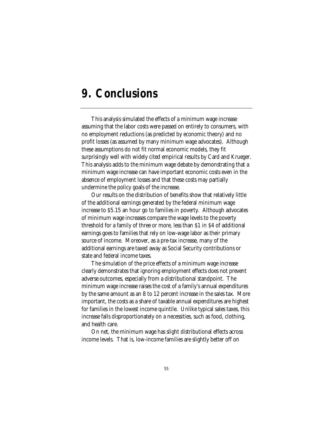## **9. Conclusions**

This analysis simulated the effects of a minimum wage increase assuming that the labor costs were passed on entirely to consumers, with no employment reductions (as predicted by economic theory) and no profit losses (as assumed by many minimum wage advocates). Although these assumptions do not fit normal economic models, they fit surprisingly well with widely cited empirical results by Card and Krueger. This analysis adds to the minimum wage debate by demonstrating that a minimum wage increase can have important economic costs even in the absence of employment losses and that these costs may partially undermine the policy goals of the increase.

Our results on the distribution of benefits show that relatively little of the additional earnings generated by the federal minimum wage increase to \$5.15 an hour go to families in poverty. Although advocates of minimum wage increases compare the wage levels to the poverty threshold for a family of three or more, less than \$1 in \$4 of additional earnings goes to families that rely on low-wage labor as their primary source of income. Moreover, as a pre-tax increase, many of the additional earnings are taxed away as Social Security contributions or state and federal income taxes.

The simulation of the price effects of a minimum wage increase clearly demonstrates that ignoring employment effects does not prevent adverse outcomes, especially from a distributional standpoint. The minimum wage increase raises the cost of a family's annual expenditures by the same amount as an 8 to 12 percent increase in the sales tax. More important, the costs as a share of taxable annual expenditures are highest for families in the lowest income quintile. Unlike typical sales taxes, this increase falls disproportionately on a necessities, such as food, clothing, and health care.

On net, the minimum wage has slight distributional effects across income levels. That is, low-income families are slightly better off on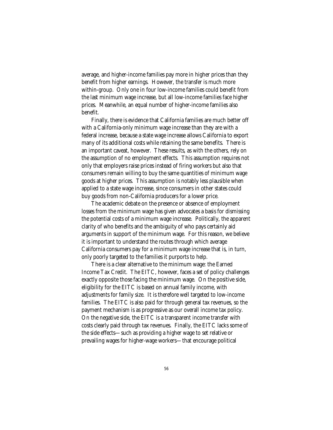average, and higher-income families pay more in higher prices than they benefit from higher earnings. However, the transfer is much more within-group. Only one in four low-income families could benefit from the last minimum wage increase, but all low-income families face higher prices. Meanwhile, an equal number of higher-income families also benefit.

Finally, there is evidence that California families are much better off with a California-only minimum wage increase than they are with a federal increase, because a state wage increase allows California to export many of its additional costs while retaining the same benefits. There is an important caveat, however. These results, as with the others, rely on the assumption of no employment effects. This assumption requires not only that employers raise prices instead of firing workers but also that consumers remain willing to buy the same quantities of minimum wage goods at higher prices. This assumption is notably less plausible when applied to a state wage increase, since consumers in other states could buy goods from non-California producers for a lower price.

The academic debate on the presence or absence of employment losses from the minimum wage has given advocates a basis for dismissing the potential costs of a minimum wage increase. Politically, the apparent clarity of who benefits and the ambiguity of who pays certainly aid arguments in support of the minimum wage. For this reason, we believe it is important to understand the routes through which average California consumers pay for a minimum wage increase that is, in turn, only poorly targeted to the families it purports to help.

There is a clear alternative to the minimum wage: the Earned Income Tax Credit. The EITC, however, faces a set of policy challenges exactly opposite those facing the minimum wage. On the positive side, eligibility for the EITC is based on annual family income, with adjustments for family size. It is therefore well targeted to low-income families. The EITC is also paid for through general tax revenues, so the payment mechanism is as progressive as our overall income tax policy. On the negative side, the EITC is a transparent income transfer with costs clearly paid through tax revenues. Finally, the EITC lacks some of the side effects—such as providing a higher wage to set relative or prevailing wages for higher-wage workers—that encourage political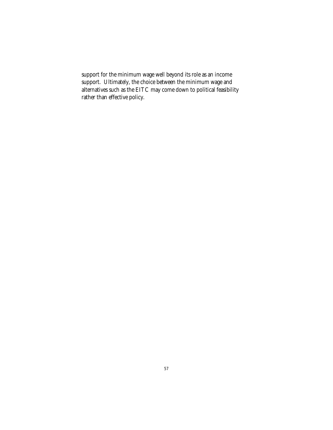support for the minimum wage well beyond its role as an income support. Ultimately, the choice between the minimum wage and alternatives such as the EITC may come down to political feasibility rather than effective policy.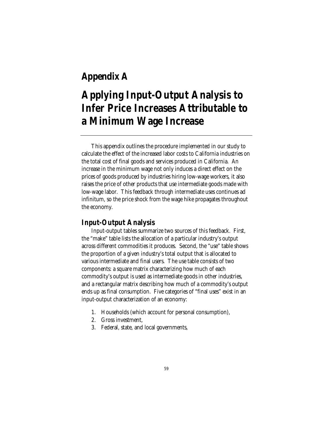## **Appendix A**

## **Applying Input-Output Analysis to Infer Price Increases Attributable to a Minimum Wage Increase**

This appendix outlines the procedure implemented in our study to calculate the effect of the increased labor costs to California industries on the total cost of final goods and services produced in California. An increase in the minimum wage not only induces a direct effect on the prices of goods produced by industries hiring low-wage workers, it also raises the price of other products that use intermediate goods made with low-wage labor. This feedback through intermediate uses continues ad infinitum, so the price shock from the wage hike propagates throughout the economy.

## **Input-Output Analysis**

Input-output tables summarize two sources of this feedback. First, the "make" table lists the allocation of a particular industry's output across different commodities it produces. Second, the "use" table shows the proportion of a given industry's total output that is allocated to various intermediate and final users. The use table consists of two components: a square matrix characterizing how much of each commodity's output is used as intermediate goods in other industries, and a rectangular matrix describing how much of a commodity's output ends up as final consumption. Five categories of "final uses" exist in an input-output characterization of an economy:

- 1. Households (which account for personal consumption),
- 2. Gross investment,
- 3. Federal, state, and local governments,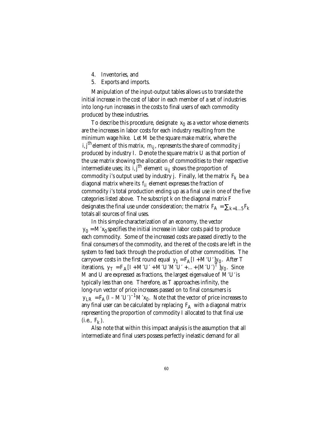- 4. Inventories, and
- 5. Exports and imports.

Manipulation of the input-output tables allows us to translate the initial increase in the cost of labor in each member of a set of industries into long-run increases in the costs to final users of each commodity produced by these industries.

To describe this procedure, designate  $x_0$  as a vector whose elements are the increases in labor costs for each industry resulting from the minimum wage hike. Let M be the square make matrix, where the i, j<sup>th</sup> element of this matrix,  $m_{ij}$ , represents the share of commodity j produced by industry I. Denote the square matrix U as that portion of the use matrix showing the allocation of commodities to their respective intermediate uses; its i, j<sup>th</sup> element  $u_{ii}$  shows the proportion of commodity i's output used by industry j. Finally, let the matrix  $\, {\rm F}_{{\rm k}} \,$  be a diagonal matrix where its  $f_{ii}$  element expresses the fraction of commodity i's total production ending up as a final use in one of the five categories listed above. The subscript k on the diagonal matrix F designates the final use under consideration; the matrix  $F_A = \sum_{k=1...5} F_k$ totals all sources of final uses.

In this simple characterization of an economy, the vector  $y_0 = M'x_0$  specifies the initial increase in labor costs paid to produce each commodity. Some of the increased costs are passed directly to the final consumers of the commodity, and the rest of the costs are left in the system to feed back through the production of other commodities. The carryover costs in the first round equal  $\,{{\rm{y}}_{{\rm{1}}}} = {{\rm{F}}_{\rm{A}}}\,[\,{\rm{I}} + {\rm{M}}' {\rm{U}}']{\rm{y}}_{{\rm{0}}}. \,$  After T iterations,  $y_T = F_A [I + M'U' + M'U'M'U' + ... + (M'U')^T]y_0$ . Since M and U are expressed as fractions, the largest eigenvalue of  $M'U'$  is typically less than one. Therefore, as T approaches infinity, the long-run vector of price increases passed on to final consumers is  $y_{LR} = F_A (I - M'U')^{-1} M' x_0$ . Note that the vector of price increases to any final user can be calculated by replacing  $F_A$  with a diagonal matrix representing the proportion of commodity I allocated to that final use  $(i.e., F_k)$ .

Also note that within this impact analysis is the assumption that all intermediate and final users possess perfectly inelastic demand for all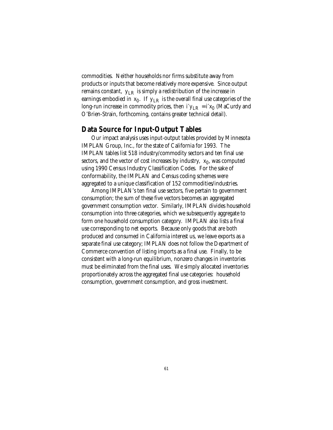commodities. Neither households nor firms substitute away from products or inputs that become relatively more expensive. Since output remains constant,  $y_{LR}$  is simply a redistribution of the increase in earnings embodied in  $\rm{x_{0}}.$  If  $\rm{y_{LR}}$  is the overall final use categories of the long-run increase in commodity prices, then  $i'y_{LR} = i'x_0$  (MaCurdy and O'Brien-Strain, forthcoming, contains greater technical detail).

## **Data Source for Input-Output Tables**

Our impact analysis uses input-output tables provided by Minnesota IMPLAN Group, Inc., for the state of California for 1993. The IMPLAN tables list 518 industry/commodity sectors and ten final use sectors, and the vector of cost increases by industry,  $\ x_{0}$ , was computed using 1990 Census Industry Classification Codes. For the sake of conformability, the IMPLAN and Census coding schemes were aggregated to a unique classification of 152 commodities/industries.

Among IMPLAN's ten final use sectors, five pertain to government consumption; the sum of these five vectors becomes an aggregated government consumption vector. Similarly, IMPLAN divides household consumption into three categories, which we subsequently aggregate to form one household consumption category. IMPLAN also lists a final use corresponding to net exports. Because only goods that are both produced and consumed in California interest us, we leave exports as a separate final use category; IMPLAN does not follow the Department of Commerce convention of listing imports as a final use. Finally, to be consistent with a long-run equilibrium, nonzero changes in inventories must be eliminated from the final uses. We simply allocated inventories proportionately across the aggregated final use categories: household consumption, government consumption, and gross investment.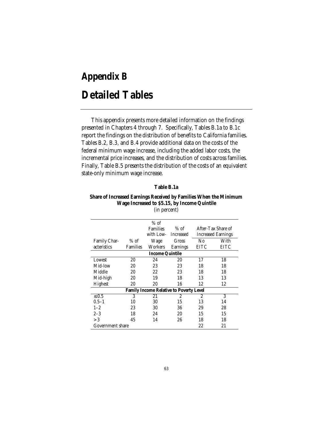# **Appendix B Detailed Tables**

This appendix presents more detailed information on the findings presented in Chapters 4 through 7. Specifically, Tables B.1a to B.1c report the findings on the distribution of benefits to California families. Tables B.2, B.3, and B.4 provide additional data on the costs of the federal minimum wage increase, including the added labor costs, the incremental price increases, and the distribution of costs across families. Finally, Table B.5 presents the distribution of the costs of an equivalent state-only minimum wage increase.

| Table B.1a |  |  |
|------------|--|--|
|------------|--|--|

### **Share of Increased Earnings Received by Families When the Minimum Wage Increased to \$5.15, by Income Quintile** (in percent)

|                              | $%$ of          |                  |                        |                                                |
|------------------------------|-----------------|------------------|------------------------|------------------------------------------------|
|                              | <b>Families</b> | $%$ of           |                        | After-Tax Share of                             |
|                              | with Low-       | <b>Increased</b> |                        | <b>Increased Earnings</b>                      |
| $%$ of                       | Wage            | Gross            | No                     | With                                           |
| <b>Families</b>              | Workers         | <b>Earnings</b>  | EITC                   | EITC                                           |
|                              |                 |                  |                        |                                                |
| 20                           | 24              | 20               | 17                     | 18                                             |
| 20                           | 23              | 23               | 18                     | 18                                             |
| 20                           | 22              | 23               | 18                     | 18                                             |
| 20                           | 19              | 18               | 13                     | 13                                             |
| 20                           | 20              | 16               | 12                     | 12                                             |
|                              |                 |                  |                        |                                                |
| 3                            | 21              | 2                | 2                      | 3                                              |
| 10                           | 30              | 15               | 13                     | 14                                             |
| 23                           | 30              | 36               | 29                     | 28                                             |
| 18                           | 24              | 20               | 15                     | 15                                             |
| 45                           | 14              | 26               | 18                     | 18                                             |
| 22<br>Government share<br>21 |                 |                  |                        |                                                |
|                              |                 |                  | <b>Income Quintile</b> | <b>Family Income Relative to Poverty Level</b> |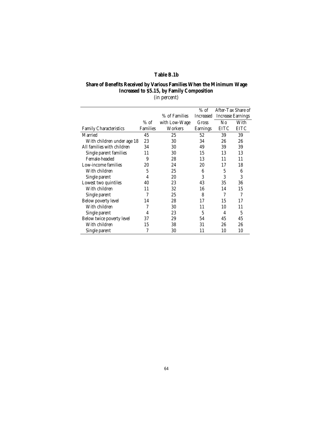## **Table B.1b**

## **Share of Benefits Received by Various Families When the Minimum Wage Increased to \$5.15, by Family Composition**

(in percent)

|                               |                 |               | $%$ of    | After-Tax Share of<br><b>Increase Earnings</b> |      |
|-------------------------------|-----------------|---------------|-----------|------------------------------------------------|------|
|                               |                 | % of Families | Increased |                                                |      |
|                               | $%$ of          | with Low-Wage | Gross     | No                                             | With |
| <b>Family Characteristics</b> | <b>Families</b> | Workers       | Earnings  | EITC                                           | EITC |
| Married                       | 45              | 25            | 52        | 39                                             | 39   |
| With children under age 18    | 23              | 30            | 34        | 26                                             | 26   |
| All families with children    | 34              | 30            | 49        | 39                                             | 39   |
| Single parent families        | 11              | 30            | 15        | 13                                             | 13   |
| Female-headed                 | 9               | 28            | 13        | 11                                             | 11   |
| Low-income families           | 20              | 24            | 20        | 17                                             | 18   |
| With children                 | 5               | 25            | 6         | 5                                              | 6    |
| Single parent                 | 4               | 20            | 3         | 3                                              | 3    |
| Lowest two quintiles          | 40              | 23            | 43        | 35                                             | 36   |
| With children                 | 11              | 32            | 16        | 14                                             | 15   |
| Single parent                 | 7               | 25            | 8         | 7                                              | 7    |
| Below poverty level           | 14              | 28            | 17        | 15                                             | 17   |
| With children                 | 7               | 30            | 11        | 10                                             | 11   |
| Single parent                 | 4               | 23            | 5         | 4                                              | 5    |
| Below twice poverty level     | 37              | 29            | 54        | 45                                             | 45   |
| With children                 | 15              | 38            | 31        | 26                                             | 26   |
| Single parent                 | 7               | 30            | 11        | 10                                             | 10   |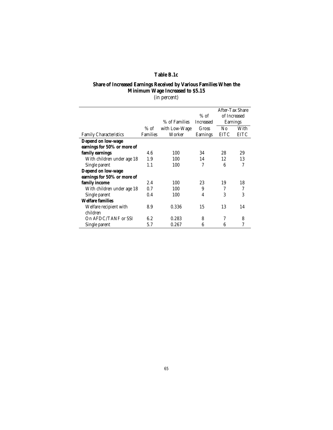### **Table B.1c**

## **Share of Increased Earnings Received by Various Families When the Minimum Wage Increased to \$5.15**

(in percent)

|                               |                 |               |                  | After-Tax Share |             |
|-------------------------------|-----------------|---------------|------------------|-----------------|-------------|
|                               |                 |               | $%$ of           | of Increased    |             |
|                               |                 | % of Families | <b>Increased</b> | <b>Earnings</b> |             |
|                               | $%$ of          | with Low-Wage | Gross            | N0              | With        |
| <b>Family Characteristics</b> | <b>Families</b> | Worker        | Earnings         | <b>EITC</b>     | <b>EITC</b> |
| Depend on low-wage            |                 |               |                  |                 |             |
| earnings for 50% or more of   |                 |               |                  |                 |             |
| family earnings               | 4.6             | 100           | 34               | 28              | 29          |
| With children under age 18    | 1.9             | 100           | 14               | 12              | 13          |
| Single parent                 | 1.1             | 100           | 7                | 6               | 7           |
| Depend on low-wage            |                 |               |                  |                 |             |
| earnings for 50% or more of   |                 |               |                  |                 |             |
| family income                 | 2.4             | 100           | 23               | 19              | 18          |
| With children under age 18    | 0.7             | 100           | 9                | 7               | 7           |
| Single parent                 | 0.4             | 100           | 4                | 3               | 3           |
| <b>Welfare families</b>       |                 |               |                  |                 |             |
| Welfare recipient with        | 8.9             | 0.336         | 15               | 13              | 14          |
| children                      |                 |               |                  |                 |             |
| On AFDC/TANF or SSI           | 6.2             | 0.283         | 8                | 7               | 8           |
| Single parent                 | 5.7             | 0.267         | 6                | 6               | 7           |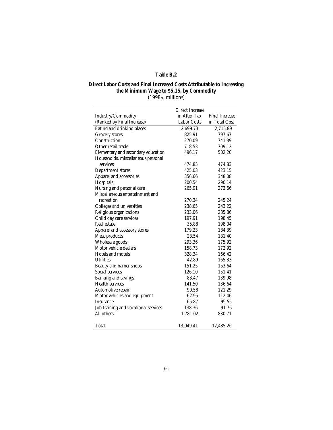## **Table B.2**

#### **Direct Labor Costs and Final Increased Costs Attributable to Increasing the Minimum Wage to \$5.15, by Commodity** (1998\$, millions)

|                                      | <b>Direct Increase</b> |                       |  |
|--------------------------------------|------------------------|-----------------------|--|
| Industry/Commodity                   | in After-Tax           | <b>Final Increase</b> |  |
| (Ranked by Final Increase)           | <b>Labor Costs</b>     | in Total Cost         |  |
| Eating and drinking places           | 2,699.73               | 2,715.89              |  |
| <b>Grocery</b> stores                | 825.91                 | 797.67                |  |
| Construction                         | 270.09                 | 741.39                |  |
| Other retail trade                   | 718.53                 | 709.12                |  |
| Elementary and secondary education   | 496.17                 | 502.20                |  |
| Households, miscellaneous personal   |                        |                       |  |
| services                             | 474.85                 | 474.83                |  |
| Department stores                    | 425.03                 | 423.15                |  |
| Apparel and accessories              | 356.66                 | 348.08                |  |
| Hospitals                            | 200.54                 | 290.14                |  |
| Nursing and personal care            | 265.91                 | 273.66                |  |
| Miscellaneous entertainment and      |                        |                       |  |
| recreation                           | 270.34                 | 245.24                |  |
| Colleges and universities            | 238.65                 | 243.22                |  |
| Religious organizations              | 233.06                 | 235.86                |  |
| Child day care services              | 197.91                 | 198.45                |  |
| Real estate                          | 35.88                  | 198.04                |  |
| Apparel and accessory stores         | 179.23                 | 184.39                |  |
| Meat products                        | 23.54                  | 181.40                |  |
| Wholesale goods                      | 293.36                 | 175.92                |  |
| Motor vehicle dealers                | 158.73                 | 172.92                |  |
| Hotels and motels                    | 328.34                 | 166.42                |  |
| <b>Utilities</b>                     | 42.89                  | 165.33                |  |
| Beauty and barber shops              | 151.25                 | 153.64                |  |
| Social services                      | 126.10                 | 151.41                |  |
| Banking and savings                  | 83.47                  | 139.98                |  |
| <b>Health services</b>               | 141.50                 | 136.64                |  |
| Automotive repair                    | 90.58                  | 121.29                |  |
| Motor vehicles and equipment         | 62.95                  | 112.46                |  |
| <b>Insurance</b>                     | 65.87                  | 99.55                 |  |
| Job training and vocational services | 138.36                 | 91.76                 |  |
| All others                           | 1,781.02               | 830.71                |  |
|                                      |                        |                       |  |
| Total                                | 13,049.41              | 12,435.26             |  |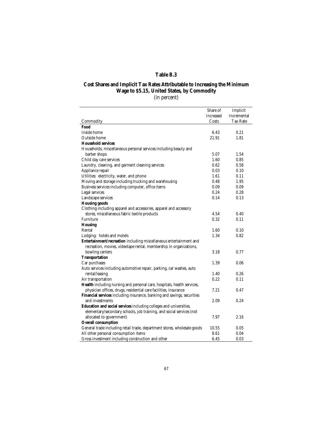## **Table B.3**

## **Cost Shares and Implicit Tax Rates Attributable to Increasing the Minimum Wage to \$5.15, United States, by Commodity**

(in percent)

|                                                                          | Share of         | Implicit    |
|--------------------------------------------------------------------------|------------------|-------------|
|                                                                          | <b>Increased</b> | Incremental |
| Commodity                                                                | Costs            | Tax Rate    |
| Food                                                                     |                  |             |
| Inside home                                                              | 6.43             | 0.21        |
| Outside home                                                             | 21.91            | 1.81        |
| <b>Household services</b>                                                |                  |             |
| Households, miscellaneous personal services including beauty and         |                  |             |
| barber shops                                                             | 5.07             | 1.54        |
| Child day care services                                                  | 1.60             | 0.85        |
| Laundry, cleaning, and garment cleaning services                         | 0.62             | 0.58        |
| Appliance repair                                                         | 0.03             | 0.10        |
| Utilities: electricity, water, and phone                                 | 1.61             | 0.11        |
| Moving and storage including trucking and warehousing                    | 0.48             | 1.95        |
| Business services including computer, office items                       | 0.09             | 0.09        |
| Legal services                                                           | 0.24             | 0.28        |
| Landscape services                                                       | 0.14             | 0.13        |
| <b>Housing goods</b>                                                     |                  |             |
| Clothing including apparel and accessories, apparel and accessory        |                  |             |
| stores, miscellaneous fabric textile products                            | 4.54             | 0.40        |
| Furniture                                                                | 0.32             | 0.11        |
| <b>Housing</b>                                                           |                  |             |
| Rental                                                                   | 1.60             | 0.10        |
| Lodging: hotels and motels                                               | 1.34             | 0.82        |
| Entertainment/recreation including miscellaneous entertainment and       |                  |             |
| recreation, movies, videotape rental, membership in organizations,       |                  |             |
| bowling centers                                                          | 3.18             | 0.77        |
| <b>Transportation</b>                                                    |                  |             |
| Car purchases                                                            | 1.39             | 0.06        |
| Auto services including automotive repair, parking, car washes, auto     |                  |             |
| rental/leasing                                                           | 1.40             | 0.26        |
| Air transportation                                                       | 0.22             | 0.11        |
| Health including nursing and personal care, hospitals, health services,  |                  |             |
| physician offices, drugs, residential care facilities, insurance         | 7.21             | 0.47        |
| Financial services including insurance, banking and savings, securities  |                  |             |
| and investments                                                          | 2.09             | 0.24        |
| Education and social services including colleges and universities,       |                  |             |
| elementary/secondary schools, job training, and social services (not     |                  |             |
| allocated to government)                                                 | 7.97             | 2.16        |
| <b>Overall consumption</b>                                               |                  |             |
| General trade including retail trade, department stores, wholesale goods | 10.55            | 0.05        |
| All other personal consumption items                                     | 8.61             | 0.04        |
| Gross investment including construction and other                        | 6.45             | 0.03        |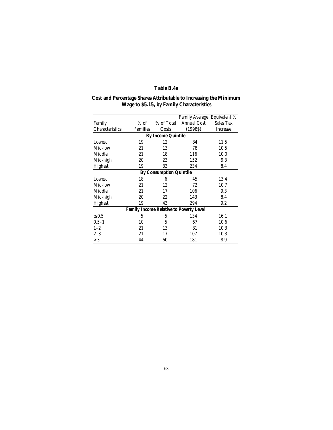## **Table B.4a**

#### **Cost and Percentage Shares Attributable to Increasing the Minimum Wage to \$5.15, by Family Characteristics**

|                                                |                 |            | Family Average Equivalent % |                 |  |  |  |
|------------------------------------------------|-----------------|------------|-----------------------------|-----------------|--|--|--|
| Family                                         | $%$ of          | % of Total | <b>Annual Cost</b>          | Sales Tax       |  |  |  |
| Characteristics                                | <b>Families</b> | Costs      | (1998S)                     | <b>Increase</b> |  |  |  |
| <b>By Income Quintile</b>                      |                 |            |                             |                 |  |  |  |
| 19<br>12<br>84<br>11.5<br>Lowest               |                 |            |                             |                 |  |  |  |
| Mid-low                                        | 21              | 13         | 78                          | 10.5            |  |  |  |
| Middle                                         | 21              | 18         | 116                         | 10.0            |  |  |  |
| Mid-high                                       | 20              | 23         | 152                         | 9.3             |  |  |  |
| Highest                                        | 19              | 33         | 234                         | 8.4             |  |  |  |
| <b>By Consumption Quintile</b>                 |                 |            |                             |                 |  |  |  |
| Lowest                                         | 18              | 6          | 45                          | 13.4            |  |  |  |
| Mid-low                                        | 21              | 12         | 72                          | 10.7            |  |  |  |
| Middle                                         | 21              | 17         | 106                         | 9.3             |  |  |  |
| Mid-high                                       | 20              | 22         | 143                         | 8.4             |  |  |  |
| Highest                                        | 19              | 43         | 294                         | 9.2             |  |  |  |
| <b>Family Income Relative to Poverty Level</b> |                 |            |                             |                 |  |  |  |
| $\leq 0.5$                                     | 5               | 5          | 134                         | 16.1            |  |  |  |
| $0.5 - 1$                                      | 10              | 5          | 67                          | 10.6            |  |  |  |
| $1 - 2$                                        | 21              | 13         | 81                          | 10.3            |  |  |  |
| $2 - 3$                                        | 21              | 17         | 107                         | 10.3            |  |  |  |
| >3                                             | 44              | 60         | 181                         | 8.9             |  |  |  |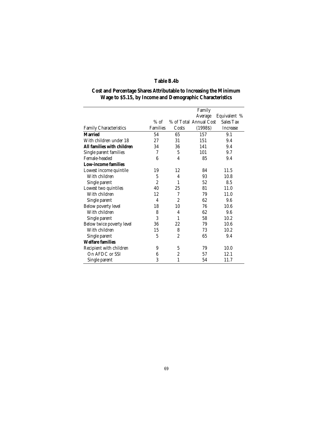## **Table B.4b**

#### **Cost and Percentage Shares Attributable to Increasing the Minimum Wage to \$5.15, by Income and Demographic Characteristics**

|                               |                 | Family           |                        |                 |
|-------------------------------|-----------------|------------------|------------------------|-----------------|
|                               |                 |                  | Average                | Equivalent %    |
|                               | $%$ of          |                  | % of Total Annual Cost | Sales Tax       |
| <b>Family Characteristics</b> | <b>Families</b> | Costs            | (1998S)                | <b>Increase</b> |
| <b>Married</b>                | 54              | 65               | 157                    | 9.1             |
| With children under 18        | 27              | 31               | 151                    | 9.4             |
| All families with children    | 34              | 36               | 141                    | 9.4             |
| Single parent families        | 7               | 5                | 101                    | 9.7             |
| Female-headed                 | 6               | 4                | 85                     | 9.4             |
| <b>Low-income families</b>    |                 |                  |                        |                 |
| Lowest income quintile        | 19              | 12               | 84                     | 11.5            |
| With children                 | 5               | 4                | 93                     | 10.8            |
| Single parent                 | $\overline{2}$  | 1                | 52                     | 8.5             |
| Lowest two quintiles          | 40              | 25               | 81                     | 11.0            |
| With children                 | 12              | 7                | 79                     | 11.0            |
| Single parent                 | 4               | $\overline{2}$   | 62                     | 9.6             |
| Below poverty level           | 18              | 10               | 76                     | 10.6            |
| With children                 | 8               | 4                | 62                     | 9.6             |
| Single parent                 | 3               | 1                | 58                     | 10.2            |
| Below twice poverty level     | 36              | 22               | 79                     | 10.6            |
| With children                 | 15              | 8                | 73                     | 10.2            |
| Single parent                 | 5               | $\overline{2}$   | 65                     | 9.4             |
| <b>Welfare families</b>       |                 |                  |                        |                 |
| Recipient with children       | 9               | 5                | 79                     | 10.0            |
| On AFDC or SSI                | 6               | $\boldsymbol{2}$ | 57                     | 12.1            |
| Single parent                 | 3               | 1                | 54                     | 11.7            |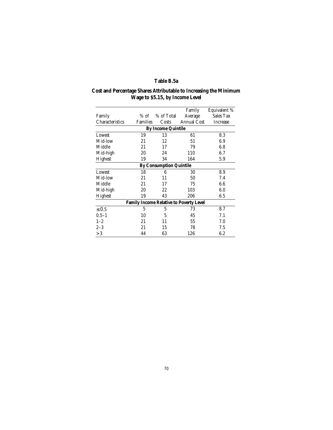## **Table B.5a**

#### **Cost and Percentage Shares Attributable to Increasing the Minimum Wage to \$5.15, by Income Level**

|                                                |                 |            | Family             | Equivalent %     |  |  |  |
|------------------------------------------------|-----------------|------------|--------------------|------------------|--|--|--|
| Family                                         | $%$ of          | % of Total | Average            | <b>Sales Tax</b> |  |  |  |
| Characteristics                                | <b>Families</b> | Costs      | <b>Annual Cost</b> | <b>Increase</b>  |  |  |  |
| <b>By Income Quintile</b>                      |                 |            |                    |                  |  |  |  |
| Lowest                                         | 19              | 13         | 61                 | 8.3              |  |  |  |
| Mid-low                                        | 21              | 12         | 51                 | 6.9              |  |  |  |
| Middle                                         | 21              | 17         | 79                 | 6.8              |  |  |  |
| Mid-high                                       | 20              | 24         | 110                | 6.7              |  |  |  |
| Highest                                        | 19              | 34         | 164                | 5.9              |  |  |  |
| <b>By Consumption Quintile</b>                 |                 |            |                    |                  |  |  |  |
| Lowest                                         | 18              | 6          | 30                 | 8.9              |  |  |  |
| Mid-low                                        | 21              | 11         | 50                 | 7.4              |  |  |  |
| Middle                                         | 21              | 17         | 75                 | 6.6              |  |  |  |
| Mid-high                                       | 20              | 22         | 103                | 6.0              |  |  |  |
| Highest                                        | 19              | 43         | 206                | 6.5              |  |  |  |
| <b>Family Income Relative to Poverty Level</b> |                 |            |                    |                  |  |  |  |
| $\leq 0.5$                                     | 5               | 5          | 73                 | 8.7              |  |  |  |
| $0.5 - 1$                                      | 10              | 5          | 45                 | 7.1              |  |  |  |
| $1 - 2$                                        | 21              | 11         | 55                 | 7.0              |  |  |  |
| $2 - 3$                                        | 21              | 15         | 78                 | 7.5              |  |  |  |
| > 3                                            | 44              | 63         | 126                | 6.2              |  |  |  |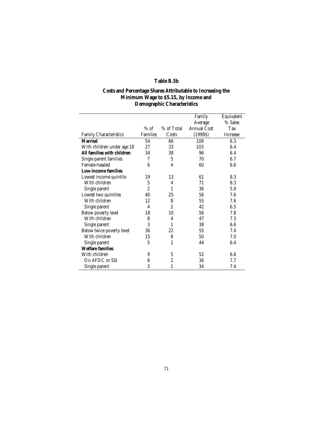## **Table B.5b**

#### **Costs and Percentage Shares Attributable to Increasing the Minimum Wage to \$5.15, by Income and Demographic Characteristics**

|                               |                 |                  | Family<br>Average  | Equivalent<br>% Sales |
|-------------------------------|-----------------|------------------|--------------------|-----------------------|
|                               | $%$ of          | % of Total       | <b>Annual Cost</b> | Tax                   |
| <b>Family Characteristics</b> | <b>Families</b> | Costs            | (1998S)            | <b>Increase</b>       |
| Married                       | 54              | 66               | 108                | 6.3                   |
| With children under age 18    | 27              | 33               | 103                | 6.4                   |
| All families with children    | 34              | 38               | 96                 | 6.4                   |
| Single parent families        | 7               | 5                | 70                 | 6.7                   |
| Female-headed                 | 6               | 4                | 60                 | 6.6                   |
| <b>Low-income families</b>    |                 |                  |                    |                       |
| Lowest income quintile        | 19              | 13               | 61                 | 8.3                   |
| With children                 | 5               | 4                | 71                 | 8.3                   |
| Single parent                 | $\overline{2}$  | 1                | 36                 | 5.9                   |
| Lowest two quintiles          | 40              | 25               | 56                 | 7.6                   |
| With children                 | 12              | 8                | 55                 | 7.6                   |
| Single parent                 | $\overline{4}$  | $\overline{2}$   | 42                 | 6.5                   |
| Below poverty level           | 18              | 10               | 56                 | 7.8                   |
| With children                 | 8               | 4                | 47                 | 7.3                   |
| Single parent                 | 3               | 1                | 38                 | 6.6                   |
| Below twice poverty level     | 36              | 22               | 55                 | 7.4                   |
| With children                 | 15              | 8                | 50                 | 7.0                   |
| Single parent                 | 5               | $\overline{2}$   | 44                 | 6.4                   |
| <b>Welfare families</b>       |                 |                  |                    |                       |
| With children                 | 9               | 5                | 52                 | 6.6                   |
| On AFDC or SSI                | 6               | $\boldsymbol{2}$ | 36                 | 7.7                   |
| Single parent                 | 3               | 1                | 34                 | 7.4                   |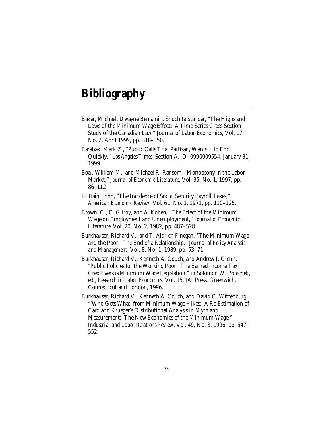# **Bibliography**

- Baker, Michael, Dwayne Benjamin, Shuchita Stanger, "The Highs and Lows of the Minimum Wage Effect: A Time-Series Cross-Section Study of the Canadian Law," Journal of Labor Economics, Vol. 17, No. 2, April 1999, pp. 318–350.
- Barabak, Mark Z., "Public Calls Trial Partisan, Wants It to End Quickly," *Los Angeles Times*, Section A, ID: 0990009554, January 31, 1999.
- Boal, William M., and Michael R. Ransom, "Monopsony in the Labor Market," *Journal of Economic Literature,* Vol. 35, No. 1, 1997, pp. 86–112.
- Brittain, John, "The Incidence of Social Security Payroll Taxes," *American Economic Review,* Vol*.* 61, No. 1, 1971, pp. 110–125.
- Brown, C., C. Gilroy, and A. Kohen, "The Effect of the Minimum Wage on Employment and Unemployment," *Journal of Economic Literature,* Vol. 20, No. 2, 1982, pp. 487–528.
- Burkhauser, Richard V., and T. Aldrich Finegan, "The Minimum Wage and the Poor: The End of a Relationship," *Journal of Policy Analysis and Management*, Vol. 8, No. 1, 1989, pp. 53–71.
- Burkhauser, Richard V., Kenneth A. Couch, and Andrew J. Glenn, "Public Policies for the Working Poor: The Earned Income Tax Credit versus Minimum Wage Legislation." in Solomon W. Polachek, ed., *Research in Labor Economics,* Vol. 15, JAI Press, Greenwich, Connecticut and London, 1996.
- Burkhauser, Richard V., Kenneth A. Couch, and David C. Wittenburg, "'Who Gets What' from Minimum Wage Hikes: A Re-Estimation of Card and Krueger's Distributional Analysis in Myth and Measurement: The New Economics of the Minimum Wage," *Industrial and Labor Relations Review*, Vol. 49, No. 3, 1996, pp. 547– 552.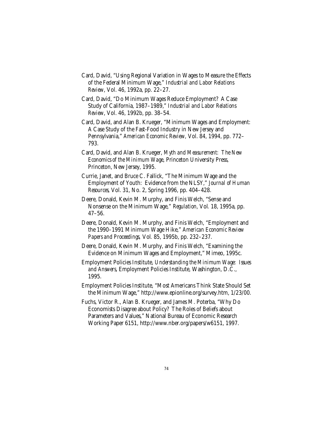- Card, David, "Using Regional Variation in Wages to Measure the Effects of the Federal Minimum Wage," *Industrial and Labor Relations Review*, Vol. 46, 1992a, pp. 22–27.
- Card, David, "Do Minimum Wages Reduce Employment? A Case Study of California, 1987–1989," *Industrial and Labor Relations Review*, Vol. 46, 1992b, pp. 38–54.
- Card, David, and Alan B. Krueger, "Minimum Wages and Employment: A Case Study of the Fast-Food Industry in New Jersey and Pennsylvania," *American Economic Review,* Vol. 84, 1994, pp. 772– 793.
- Card, David, and Alan B. Krueger, *Myth and Measurement: The New Economics of the Minimum Wage*, Princeton University Press, Princeton, New Jersey, 1995.
- Currie, Janet, and Bruce C. Fallick, "The Minimum Wage and the Employment of Youth: Evidence from the NLSY," *Journal of Human Resources*, Vol. 31, No. 2, Spring 1996, pp. 404–428.
- Deere, Donald, Kevin M. Murphy, and Finis Welch, "Sense and Nonsense on the Minimum Wage," *Regulation,* Vol*.* 18, 1995a, pp. 47–56.
- Deere, Donald, Kevin M. Murphy, and Finis Welch, "Employment and the 1990–1991 Minimum Wage Hike," *American Economic Review Papers and Proceedings,* Vol*.* 85, 1995b, pp. 232–237.
- Deere, Donald, Kevin M. Murphy, and Finis Welch, "Examining the Evidence on Minimum Wages and Employment," Mimeo, 1995c.
- Employment Policies Institute, *Understanding the Minimum Wage: Issues and Answers*, Employment Policies Institute, Washington, D.C., 1995.
- Employment Policies Institute, "Most Americans Think State Should Set the Minimum Wage," http://www.epionline.org/survey.htm, 1/23/00.
- Fuchs, Victor R., Alan B. Krueger, and James M. Poterba, "Why Do Economists Disagree about Policy? The Roles of Beliefs about Parameters and Values," National Bureau of Economic Research Working Paper 6151, http://www.nber.org/papers/w6151, 1997.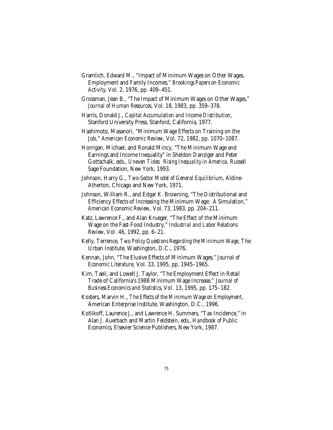- Gramlich, Edward M., "Impact of Minimum Wages on Other Wages, Employment and Family Incomes," *Brookings Papers on Economic Activity*, Vol. 2, 1976, pp. 409–451.
- Grossman, Jean B., "The Impact of Minimum Wages on Other Wages," *Journal of Human Resources*, Vol. 18, 1983, pp. 359–378.
- Harris, Donald J., *Capital Accumulation and Income Distribution*, Stanford University Press, Stanford, California, 1977.
- Hashimoto, Masanori, "Minimum Wage Effects on Training on the Job," *American Economic Review*, Vol. 72, 1982, pp. 1070–1087.
- Horrigan, Michael, and Ronald Mincy, "The Minimum Wage and Earnings and Income Inequality" in Sheldon Danziger and Peter Gottschalk, eds., *Uneven Tides: Rising Inequality in America,* Russell Sage Foundation, New York, 1993.
- Johnson, Harry G., *Two-Sector Model of General Equilibrium*, Aldine-Atherton, Chicago and New York, 1971.
- Johnson, William R., and Edgar K. Browning, "The Distributional and Efficiency Effects of Increasing the Minimum Wage: A Simulation," *American Economic Review,* Vol*.* 73, 1983, pp. 204–211.
- Katz, Lawrence F., and Alan Krueger, "The Effect of the Minimum Wage on the Fast-Food Industry," *Industrial and Labor Relations Review,* Vol*.* 46, 1992, pp. 6–21.
- Kelly, Terrence, *Two Policy Questions Regarding the Minimum Wage*, The Urban Institute, Washington, D.C., 1976.
- Kennan, John, "The Elusive Effects of Minimum Wages," *Journal of Economic Literature,* Vol. 33, 1995, pp. 1945–1965.
- Kim, Taeil, and Lowell J. Taylor, "The Employment Effect in Retail Trade of California's 1988 Minimum Wage Increase," *Journal of Business Economics and Statistics,* Vol*.* 13, 1995, pp. 175–182.
- Kosters, Marvin H., *The Effects of the Minimum Wage on Employment*, American Enterprise Institute, Washington, D.C., 1996.
- Kotlikoff, Laurence J., and Lawrence H. Summers, "Tax Incidence," in Alan J. Auerbach and Martin Feldstein, eds., *Handbook of Public Economics*, Elsevier Science Publishers, New York, 1987.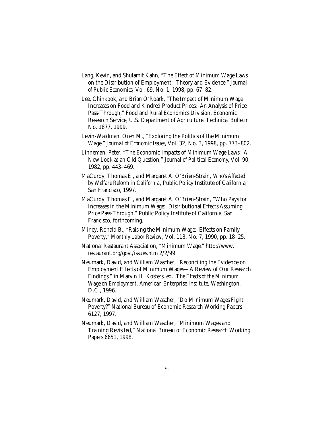- Lang, Kevin, and Shulamit Kahn, "The Effect of Minimum Wage Laws on the Distribution of Employment: Theory and Evidence," *Journal of Public Economics,* Vol*.* 69, No. 1, 1998, pp. 67–82.
- Lee, Chinkook, and Brian O'Roark, "The Impact of Minimum Wage Increases on Food and Kindred Product Prices: An Analysis of Price Pass-Through," Food and Rural Economics Division, Economic Research Service, U.S. Department of Agriculture. Technical Bulletin No. 1877, 1999.
- Levin-Waldman, Oren M., "Exploring the Politics of the Minimum Wage," *Journal of Economic Issues*, Vol. 32, No. 3, 1998, pp. 773–802.
- Linneman, Peter, "The Economic Impacts of Minimum Wage Laws: A New Look at an Old Question," *Journal of Political Economy*, Vol. 90, 1982, pp. 443–469.
- MaCurdy, Thomas E., and Margaret A. O'Brien-Strain, *Who's Affected by Welfare Reform in California*, Public Policy Institute of California, San Francisco, 1997.
- MaCurdy, Thomas E., and Margaret A. O'Brien-Strain, "Who Pays for Increases in the Minimum Wage: Distributional Effects Assuming Price Pass-Through," Public Policy Institute of California, San Francisco, forthcoming.
- Mincy, Ronald B., "Raising the Minimum Wage: Effects on Family Poverty," *Monthly Labor Review*, Vol. 113, No. 7, 1990, pp. 18–25.
- National Restaurant Association, "Minimum Wage," http://www. restaurant.org/govt/issues.htm 2/2/99.
- Neumark, David, and William Wascher, "Reconciling the Evidence on Employment Effects of Minimum Wages—A Review of Our Research Findings," in Marvin H. Kosters, ed., *The Effects of the Minimum Wage on Employment*, American Enterprise Institute, Washington, D.C., 1996.
- Neumark, David, and William Wascher, "Do Minimum Wages Fight Poverty?" National Bureau of Economic Research Working Papers 6127, 1997.
- Neumark, David, and William Wascher, "Minimum Wages and Training Revisited," National Bureau of Economic Research Working Papers 6651, 1998.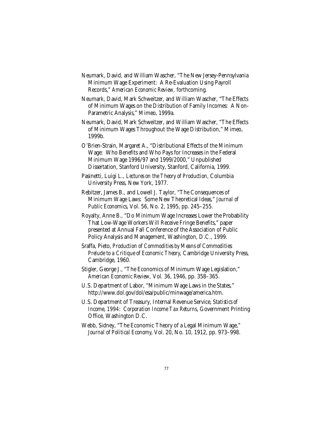- Neumark, David, and William Wascher, "The New Jersey-Pennsylvania Minimum Wage Experiment: A Re-Evaluation Using Payroll Records," *American Economic Review,* forthcoming*.*
- Neumark, David, Mark Schweitzer, and William Wascher, "The Effects of Minimum Wages on the Distribution of Family Incomes: A Non-Parametric Analysis," Mimeo, 1999a.
- Neumark, David, Mark Schweitzer, and William Wascher, "The Effects of Minimum Wages Throughout the Wage Distribution," Mimeo, 1999b.
- O'Brien-Strain, Margaret A., "Distributional Effects of the Minimum Wage: Who Benefits and Who Pays for Increases in the Federal Minimum Wage 1996/97 and 1999/2000," Unpublished Dissertation, Stanford University, Stanford, California, 1999.
- Pasinetti, Luigi L., *Lectures on the Theory of Production*, Columbia University Press, New York, 1977.
- Rebitzer, James B., and Lowell J. Taylor, "The Consequences of Minimum Wage Laws: Some New Theoretical Ideas," *Journal of Public Economics*, Vol. 56, No. 2, 1995, pp. 245–255.
- Royalty, Anne B., "Do Minimum Wage Increases Lower the Probability That Low-Wage Workers Will Receive Fringe Benefits," paper presented at Annual Fall Conference of the Association of Public Policy Analysis and Management, Washington, D.C., 1999.
- Sraffa, Pieto, *Production of Commodities by Means of Commodities: Prelude to a Critique of Economic Theory*, Cambridge University Press, Cambridge, 1960.
- Stigler, George J., "The Economics of Minimum Wage Legislation," *American Economic Review,* Vol*.* 36, 1946, pp. 358–365.
- U.S. Department of Labor, "Minimum Wage Laws in the States," http://www.dol.gov/dol/esa/public/minwage/america.htm.
- U.S. Department of Treasury, Internal Revenue Service, *Statistics of Income, 1994: Corporation Income Tax Returns*, Government Printing Office, Washington D.C.
- Webb, Sidney, "The Economic Theory of a Legal Minimum Wage," *Journal of Political Economy*, Vol. 20, No. 10, 1912, pp. 973–998.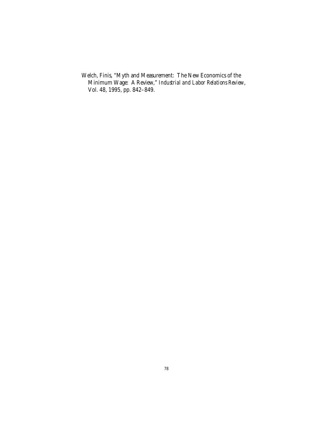Welch, Finis, "Myth and Measurement: The New Economics of the Minimum Wage: A Review," *Industrial and Labor Relations Review*, Vol. 48, 1995, pp. 842–849.